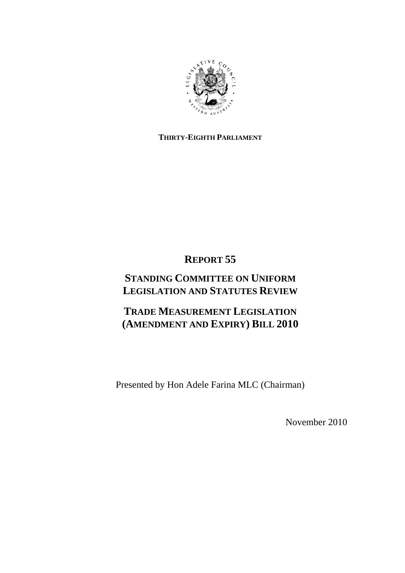

# **THIRTY-EIGHTH PARLIAMENT**

# **REPORT 55**

# **STANDING COMMITTEE ON UNIFORM LEGISLATION AND STATUTES REVIEW**

# **TRADE MEASUREMENT LEGISLATION (AMENDMENT AND EXPIRY) BILL 2010**

Presented by Hon Adele Farina MLC (Chairman)

November 2010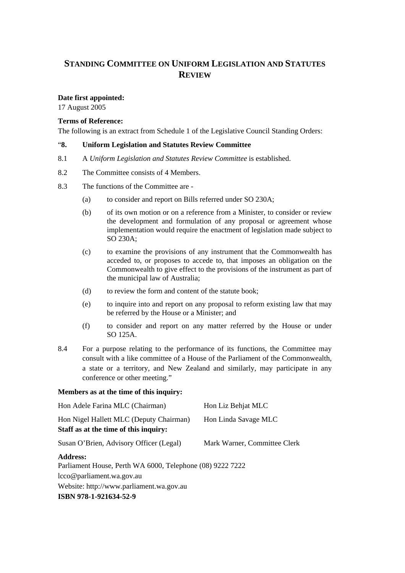# **STANDING COMMITTEE ON UNIFORM LEGISLATION AND STATUTES REVIEW**

### **Date first appointed:**

17 August 2005

#### **Terms of Reference:**

The following is an extract from Schedule 1 of the Legislative Council Standing Orders:

#### "**8. Uniform Legislation and Statutes Review Committee**

- 8.1 A *Uniform Legislation and Statutes Review Committee* is established.
- 8.2 The Committee consists of 4 Members.
- 8.3 The functions of the Committee are
	- (a) to consider and report on Bills referred under SO 230A;
	- (b) of its own motion or on a reference from a Minister, to consider or review the development and formulation of any proposal or agreement whose implementation would require the enactment of legislation made subject to SO 230A;
	- (c) to examine the provisions of any instrument that the Commonwealth has acceded to, or proposes to accede to, that imposes an obligation on the Commonwealth to give effect to the provisions of the instrument as part of the municipal law of Australia;
	- (d) to review the form and content of the statute book;
	- (e) to inquire into and report on any proposal to reform existing law that may be referred by the House or a Minister; and
	- (f) to consider and report on any matter referred by the House or under SO 125A.
- 8.4 For a purpose relating to the performance of its functions, the Committee may consult with a like committee of a House of the Parliament of the Commonwealth, a state or a territory, and New Zealand and similarly, may participate in any conference or other meeting."

#### **Members as at the time of this inquiry:**

| Hon Adele Farina MLC (Chairman)                                                  | Hon Liz Behjat MLC           |
|----------------------------------------------------------------------------------|------------------------------|
| Hon Nigel Hallett MLC (Deputy Chairman)<br>Staff as at the time of this inquiry: | Hon Linda Savage MLC         |
| Susan O'Brien, Advisory Officer (Legal)                                          | Mark Warner, Committee Clerk |
| <b>Address:</b><br>Parliament House, Perth WA 6000, Telephone (08) 9222 7222     |                              |
| lcco@parliament.wa.gov.au                                                        |                              |
| Website: http://www.parliament.wa.gov.au                                         |                              |
| ISBN 978-1-921634-52-9                                                           |                              |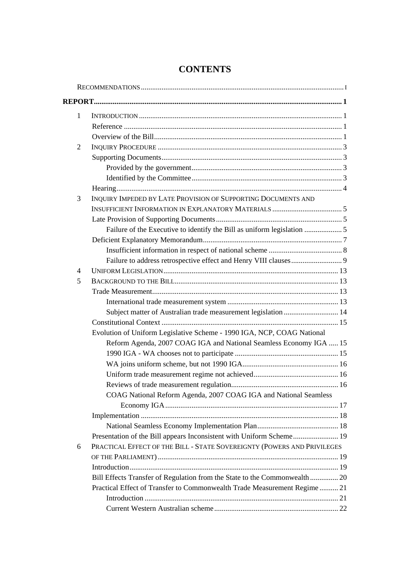| $\mathbf{1}$   |                                                                           |  |
|----------------|---------------------------------------------------------------------------|--|
|                |                                                                           |  |
|                |                                                                           |  |
| 2              |                                                                           |  |
|                |                                                                           |  |
|                |                                                                           |  |
|                |                                                                           |  |
|                |                                                                           |  |
| 3              | INQUIRY IMPEDED BY LATE PROVISION OF SUPPORTING DOCUMENTS AND             |  |
|                |                                                                           |  |
|                |                                                                           |  |
|                |                                                                           |  |
|                |                                                                           |  |
|                |                                                                           |  |
|                |                                                                           |  |
| $\overline{4}$ |                                                                           |  |
| 5              |                                                                           |  |
|                |                                                                           |  |
|                |                                                                           |  |
|                | Subject matter of Australian trade measurement legislation  14            |  |
|                |                                                                           |  |
|                | Evolution of Uniform Legislative Scheme - 1990 IGA, NCP, COAG National    |  |
|                | Reform Agenda, 2007 COAG IGA and National Seamless Economy IGA  15        |  |
|                |                                                                           |  |
|                |                                                                           |  |
|                |                                                                           |  |
|                |                                                                           |  |
|                | COAG National Reform Agenda, 2007 COAG IGA and National Seamless          |  |
|                |                                                                           |  |
|                |                                                                           |  |
|                |                                                                           |  |
|                | Presentation of the Bill appears Inconsistent with Uniform Scheme 19      |  |
| 6              | PRACTICAL EFFECT OF THE BILL - STATE SOVEREIGNTY (POWERS AND PRIVILEGES   |  |
|                |                                                                           |  |
|                |                                                                           |  |
|                | Bill Effects Transfer of Regulation from the State to the Commonwealth 20 |  |
|                | Practical Effect of Transfer to Commonwealth Trade Measurement Regime  21 |  |
|                |                                                                           |  |
|                |                                                                           |  |

# **CONTENTS**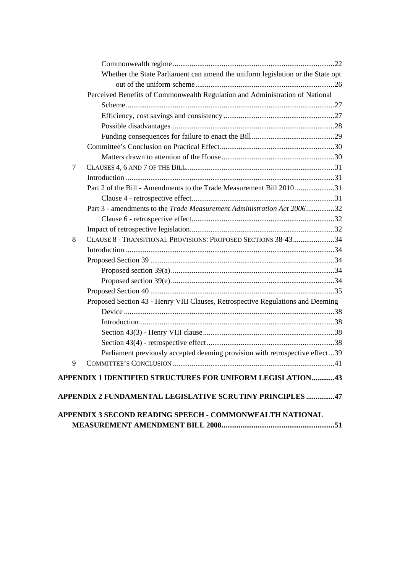|                | Whether the State Parliament can amend the uniform legislation or the State opt |  |
|----------------|---------------------------------------------------------------------------------|--|
|                |                                                                                 |  |
|                | Perceived Benefits of Commonwealth Regulation and Administration of National    |  |
|                |                                                                                 |  |
|                |                                                                                 |  |
|                |                                                                                 |  |
|                |                                                                                 |  |
|                |                                                                                 |  |
|                |                                                                                 |  |
| $\overline{7}$ |                                                                                 |  |
|                |                                                                                 |  |
|                | Part 2 of the Bill - Amendments to the Trade Measurement Bill 201031            |  |
|                |                                                                                 |  |
|                | Part 3 - amendments to the Trade Measurement Administration Act 200632          |  |
|                |                                                                                 |  |
|                |                                                                                 |  |
| 8              | CLAUSE 8 - TRANSITIONAL PROVISIONS: PROPOSED SECTIONS 38-4334                   |  |
|                |                                                                                 |  |
|                |                                                                                 |  |
|                |                                                                                 |  |
|                |                                                                                 |  |
|                |                                                                                 |  |
|                | Proposed Section 43 - Henry VIII Clauses, Retrospective Regulations and Deeming |  |
|                |                                                                                 |  |
|                |                                                                                 |  |
|                |                                                                                 |  |
|                |                                                                                 |  |
|                | Parliament previously accepted deeming provision with retrospective effect39    |  |
| 9              |                                                                                 |  |
|                | APPENDIX 1 IDENTIFIED STRUCTURES FOR UNIFORM LEGISLATION43                      |  |
|                | APPENDIX 2 FUNDAMENTAL LEGISLATIVE SCRUTINY PRINCIPLES 47                       |  |
|                |                                                                                 |  |
|                | APPENDIX 3 SECOND READING SPEECH - COMMONWEALTH NATIONAL                        |  |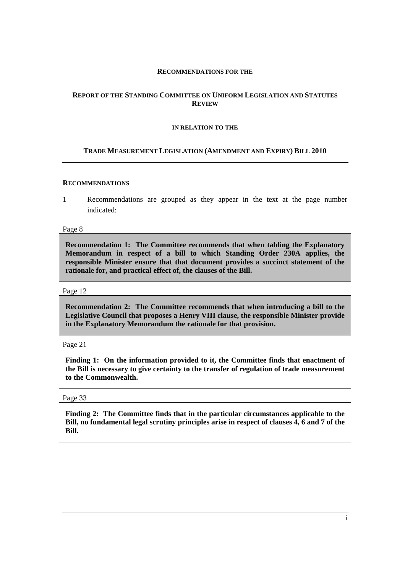#### **RECOMMENDATIONS FOR THE**

#### **REPORT OF THE STANDING COMMITTEE ON UNIFORM LEGISLATION AND STATUTES REVIEW**

#### **IN RELATION TO THE**

#### **TRADE MEASUREMENT LEGISLATION (AMENDMENT AND EXPIRY) BILL 2010**

#### **RECOMMENDATIONS**

1 Recommendations are grouped as they appear in the text at the page number indicated:

Page 8

**Recommendation 1: The Committee recommends that when tabling the Explanatory Memorandum in respect of a bill to which Standing Order 230A applies, the responsible Minister ensure that that document provides a succinct statement of the rationale for, and practical effect of, the clauses of the Bill.** 

Page 12

**Recommendation 2: The Committee recommends that when introducing a bill to the Legislative Council that proposes a Henry VIII clause, the responsible Minister provide in the Explanatory Memorandum the rationale for that provision.** 

Page 21

**Finding 1: On the information provided to it, the Committee finds that enactment of the Bill is necessary to give certainty to the transfer of regulation of trade measurement to the Commonwealth.** 

Page 33

**Finding 2: The Committee finds that in the particular circumstances applicable to the Bill, no fundamental legal scrutiny principles arise in respect of clauses 4, 6 and 7 of the Bill.**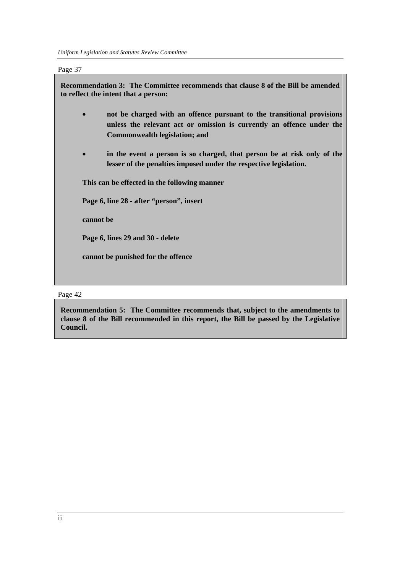*Uniform Legislation and Statutes Review Committee* 

Page 37

| Recommendation 3: The Committee recommends that clause 8 of the Bill be amended<br>to reflect the intent that a person: |                                                                                                                                                                                  |  |
|-------------------------------------------------------------------------------------------------------------------------|----------------------------------------------------------------------------------------------------------------------------------------------------------------------------------|--|
|                                                                                                                         | not be charged with an offence pursuant to the transitional provisions<br>unless the relevant act or omission is currently an offence under the<br>Commonwealth legislation; and |  |
|                                                                                                                         | in the event a person is so charged, that person be at risk only of the<br>lesser of the penalties imposed under the respective legislation.                                     |  |
| This can be effected in the following manner                                                                            |                                                                                                                                                                                  |  |
| Page 6, line 28 - after "person", insert                                                                                |                                                                                                                                                                                  |  |
| cannot be                                                                                                               |                                                                                                                                                                                  |  |
| Page 6, lines 29 and 30 - delete                                                                                        |                                                                                                                                                                                  |  |
|                                                                                                                         | cannot be punished for the offence                                                                                                                                               |  |

Page 42

**Recommendation 5: The Committee recommends that, subject to the amendments to clause 8 of the Bill recommended in this report, the Bill be passed by the Legislative Council.**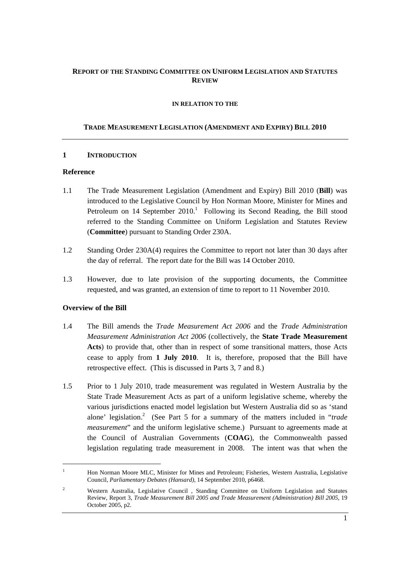## **REPORT OF THE STANDING COMMITTEE ON UNIFORM LEGISLATION AND STATUTES REVIEW**

#### **IN RELATION TO THE**

#### **TRADE MEASUREMENT LEGISLATION (AMENDMENT AND EXPIRY) BILL 2010**

#### **1 INTRODUCTION**

#### **Reference**

- 1.1 The Trade Measurement Legislation (Amendment and Expiry) Bill 2010 (**Bill**) was introduced to the Legislative Council by Hon Norman Moore, Minister for Mines and Petroleum on  $14$  September  $2010$ .<sup>1</sup> Following its Second Reading, the Bill stood referred to the Standing Committee on Uniform Legislation and Statutes Review (**Committee**) pursuant to Standing Order 230A.
- 1.2 Standing Order 230A(4) requires the Committee to report not later than 30 days after the day of referral. The report date for the Bill was 14 October 2010.
- 1.3 However, due to late provision of the supporting documents, the Committee requested, and was granted, an extension of time to report to 11 November 2010.

#### **Overview of the Bill**

 $\overline{a}$ 

- 1.4 The Bill amends the *Trade Measurement Act 2006* and the *Trade Administration Measurement Administration Act 2006* (collectively, the **State Trade Measurement Acts**) to provide that, other than in respect of some transitional matters, those Acts cease to apply from **1 July 2010**. It is, therefore, proposed that the Bill have retrospective effect. (This is discussed in Parts 3, 7 and 8.)
- 1.5 Prior to 1 July 2010, trade measurement was regulated in Western Australia by the State Trade Measurement Acts as part of a uniform legislative scheme, whereby the various jurisdictions enacted model legislation but Western Australia did so as 'stand alone' legislation.<sup>2</sup> (See Part 5 for a summary of the matters included in "*trade measurement*" and the uniform legislative scheme.) Pursuant to agreements made at the Council of Australian Governments (**COAG**), the Commonwealth passed legislation regulating trade measurement in 2008. The intent was that when the

<sup>1</sup> Hon Norman Moore MLC, Minister for Mines and Petroleum; Fisheries, Western Australia, Legislative Council, *Parliamentary Debates (Hansard),* 14 September 2010, p6468.

<sup>2</sup> Western Australia, Legislative Council , Standing Committee on Uniform Legislation and Statutes Review, Report 3, *Trade Measurement Bill 2005 and Trade Measurement (Administration) Bill 2005,* 19 October 2005, p2.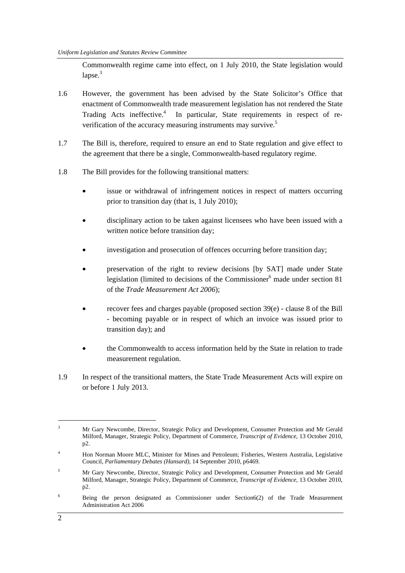Commonwealth regime came into effect, on 1 July 2010, the State legislation would  $l$ apse. $3$ 

- 1.6 However, the government has been advised by the State Solicitor's Office that enactment of Commonwealth trade measurement legislation has not rendered the State Trading Acts ineffective.<sup>4</sup> In particular, State requirements in respect of reverification of the accuracy measuring instruments may survive.<sup>5</sup>
- 1.7 The Bill is, therefore, required to ensure an end to State regulation and give effect to the agreement that there be a single, Commonwealth-based regulatory regime.
- 1.8 The Bill provides for the following transitional matters:
	- issue or withdrawal of infringement notices in respect of matters occurring prior to transition day (that is, 1 July 2010);
	- disciplinary action to be taken against licensees who have been issued with a written notice before transition day;
	- investigation and prosecution of offences occurring before transition day;
	- preservation of the right to review decisions [by SAT] made under State legislation (limited to decisions of the Commissioner<sup>6</sup> made under section 81 of the *Trade Measurement Act 2006*);
	- recover fees and charges payable (proposed section 39(e) clause 8 of the Bill - becoming payable or in respect of which an invoice was issued prior to transition day); and
	- the Commonwealth to access information held by the State in relation to trade measurement regulation.
- 1.9 In respect of the transitional matters, the State Trade Measurement Acts will expire on or before 1 July 2013.

 $\overline{a}$ 

<sup>3</sup> Mr Gary Newcombe, Director, Strategic Policy and Development, Consumer Protection and Mr Gerald Milford, Manager, Strategic Policy, Department of Commerce, *Transcript of Evidence,* 13 October 2010, p2.

<sup>4</sup> Hon Norman Moore MLC, Minister for Mines and Petroleum; Fisheries, Western Australia, Legislative Council, *Parliamentary Debates (Hansard),* 14 September 2010, p6469.

<sup>5</sup> Mr Gary Newcombe, Director, Strategic Policy and Development, Consumer Protection and Mr Gerald Milford, Manager, Strategic Policy, Department of Commerce, *Transcript of Evidence,* 13 October 2010, p2.

<sup>6</sup> Being the person designated as Commissioner under Section6(2) of the Trade Measurement Administration Act 2006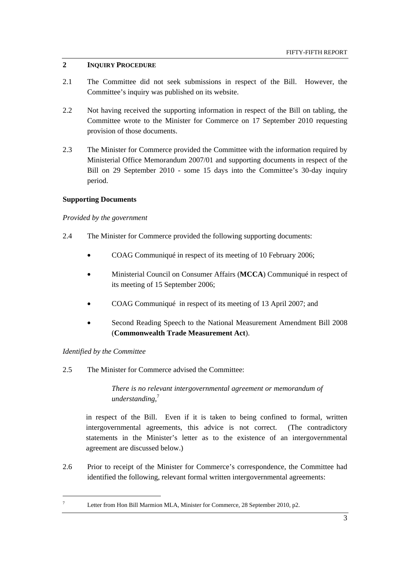# **2 INQUIRY PROCEDURE**

- 2.1 The Committee did not seek submissions in respect of the Bill. However, the Committee's inquiry was published on its website.
- 2.2 Not having received the supporting information in respect of the Bill on tabling, the Committee wrote to the Minister for Commerce on 17 September 2010 requesting provision of those documents.
- 2.3 The Minister for Commerce provided the Committee with the information required by Ministerial Office Memorandum 2007/01 and supporting documents in respect of the Bill on 29 September 2010 - some 15 days into the Committee's 30-day inquiry period.

### **Supporting Documents**

### *Provided by the government*

- 2.4 The Minister for Commerce provided the following supporting documents:
	- COAG Communiqué in respect of its meeting of 10 February 2006;
	- Ministerial Council on Consumer Affairs (**MCCA**) Communiqué in respect of its meeting of 15 September 2006;
	- COAG Communiqué in respect of its meeting of 13 April 2007; and
	- Second Reading Speech to the National Measurement Amendment Bill 2008 (**Commonwealth Trade Measurement Act**).

# *Identified by the Committee*

 7

2.5 The Minister for Commerce advised the Committee:

*There is no relevant intergovernmental agreement or memorandum of understanding,*<sup>7</sup>

 in respect of the Bill. Even if it is taken to being confined to formal, written intergovernmental agreements, this advice is not correct. (The contradictory statements in the Minister's letter as to the existence of an intergovernmental agreement are discussed below.)

2.6 Prior to receipt of the Minister for Commerce's correspondence, the Committee had identified the following, relevant formal written intergovernmental agreements:

Letter from Hon Bill Marmion MLA, Minister for Commerce, 28 September 2010, p2.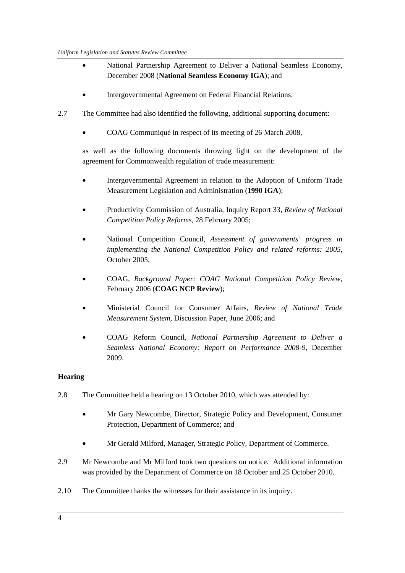- National Partnership Agreement to Deliver a National Seamless Economy, December 2008 (**National Seamless Economy IGA**); and
- Intergovernmental Agreement on Federal Financial Relations.
- 2.7 The Committee had also identified the following, additional supporting document:
	- COAG Communiqué in respect of its meeting of 26 March 2008,

as well as the following documents throwing light on the development of the agreement for Commonwealth regulation of trade measurement:

- Intergovernmental Agreement in relation to the Adoption of Uniform Trade Measurement Legislation and Administration (**1990 IGA**);
- Productivity Commission of Australia, Inquiry Report 33, *Review of National Competition Policy Reforms*, 28 February 2005;
- National Competition Council, *Assessment of governments' progress in implementing the National Competition Policy and related reforms: 2005*, October 2005;
- COAG, *Background Paper: COAG National Competition Policy Review*, February 2006 (**COAG NCP Review**);
- Ministerial Council for Consumer Affairs, *Review of National Trade Measurement System*, Discussion Paper, June 2006; and
- COAG Reform Council, *National Partnership Agreement to Deliver a Seamless National Economy: Report on Performance 2008-9*, December 2009.

# **Hearing**

- 2.8 The Committee held a hearing on 13 October 2010, which was attended by:
	- Mr Gary Newcombe, Director, Strategic Policy and Development, Consumer Protection, Department of Commerce; and
	- Mr Gerald Milford, Manager, Strategic Policy, Department of Commerce.
- 2.9 Mr Newcombe and Mr Milford took two questions on notice. Additional information was provided by the Department of Commerce on 18 October and 25 October 2010.
- 2.10 The Committee thanks the witnesses for their assistance in its inquiry.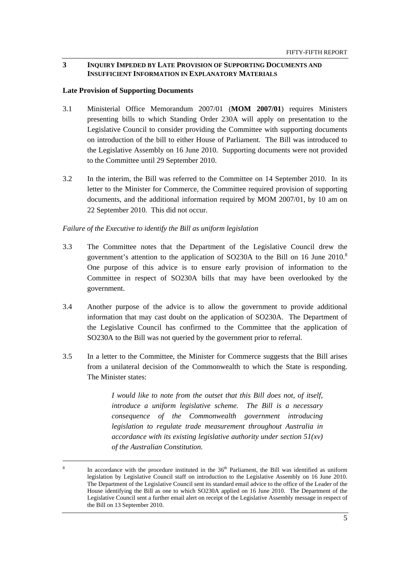### **3 INQUIRY IMPEDED BY LATE PROVISION OF SUPPORTING DOCUMENTS AND INSUFFICIENT INFORMATION IN EXPLANATORY MATERIALS**

#### **Late Provision of Supporting Documents**

- 3.1 Ministerial Office Memorandum 2007/01 (**MOM 2007/01**) requires Ministers presenting bills to which Standing Order 230A will apply on presentation to the Legislative Council to consider providing the Committee with supporting documents on introduction of the bill to either House of Parliament. The Bill was introduced to the Legislative Assembly on 16 June 2010. Supporting documents were not provided to the Committee until 29 September 2010.
- 3.2 In the interim, the Bill was referred to the Committee on 14 September 2010. In its letter to the Minister for Commerce, the Committee required provision of supporting documents, and the additional information required by MOM 2007/01, by 10 am on 22 September 2010. This did not occur.

#### *Failure of the Executive to identify the Bill as uniform legislation*

- 3.3 The Committee notes that the Department of the Legislative Council drew the government's attention to the application of SO230A to the Bill on 16 June 2010.<sup>8</sup> One purpose of this advice is to ensure early provision of information to the Committee in respect of SO230A bills that may have been overlooked by the government.
- 3.4 Another purpose of the advice is to allow the government to provide additional information that may cast doubt on the application of SO230A. The Department of the Legislative Council has confirmed to the Committee that the application of SO230A to the Bill was not queried by the government prior to referral.
- 3.5 In a letter to the Committee, the Minister for Commerce suggests that the Bill arises from a unilateral decision of the Commonwealth to which the State is responding. The Minister states:

*I would like to note from the outset that this Bill does not, of itself, introduce a uniform legislative scheme. The Bill is a necessary consequence of the Commonwealth government introducing legislation to regulate trade measurement throughout Australia in accordance with its existing legislative authority under section 51(xv) of the Australian Constitution.* 

<sup>8</sup> In accordance with the procedure instituted in the  $36<sup>th</sup>$  Parliament, the Bill was identified as uniform legislation by Legislative Council staff on introduction to the Legislative Assembly on 16 June 2010. The Department of the Legislative Council sent its standard email advice to the office of the Leader of the House identifying the Bill as one to which SO230A applied on 16 June 2010. The Department of the Legislative Council sent a further email alert on receipt of the Legislative Assembly message in respect of the Bill on 13 September 2010.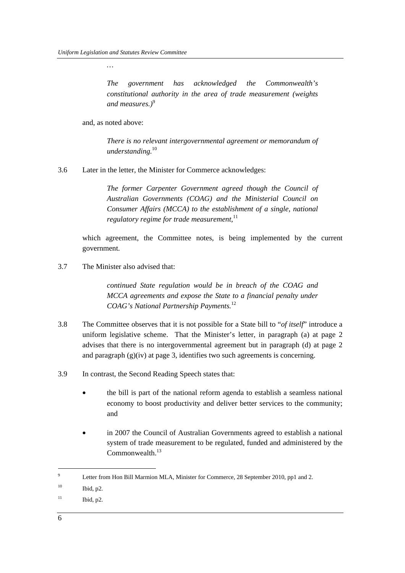*…* 

*The government has acknowledged the Commonwealth's constitutional authority in the area of trade measurement (weights*  and measures.)<sup>9</sup>

and, as noted above:

*There is no relevant intergovernmental agreement or memorandum of understanding.*<sup>10</sup>

3.6 Later in the letter, the Minister for Commerce acknowledges:

*The former Carpenter Government agreed though the Council of Australian Governments (COAG) and the Ministerial Council on Consumer Affairs (MCCA) to the establishment of a single, national regulatory regime for trade measurement*,<sup>11</sup>

 which agreement, the Committee notes, is being implemented by the current government.

3.7 The Minister also advised that:

*continued State regulation would be in breach of the COAG and MCCA agreements and expose the State to a financial penalty under COAG's National Partnership Payments.*<sup>12</sup>

- 3.8 The Committee observes that it is not possible for a State bill to "*of itself*" introduce a uniform legislative scheme. That the Minister's letter, in paragraph (a) at page 2 advises that there is no intergovernmental agreement but in paragraph (d) at page 2 and paragraph  $(g)(iv)$  at page 3, identifies two such agreements is concerning.
- 3.9 In contrast, the Second Reading Speech states that:
	- the bill is part of the national reform agenda to establish a seamless national economy to boost productivity and deliver better services to the community; and
	- in 2007 the Council of Australian Governments agreed to establish a national system of trade measurement to be regulated, funded and administered by the Commonwealth.<sup>13</sup>

<sup>9</sup> Letter from Hon Bill Marmion MLA, Minister for Commerce, 28 September 2010, pp1 and 2.

 $10$  Ibid, p2.

 $11$  Ibid, p2.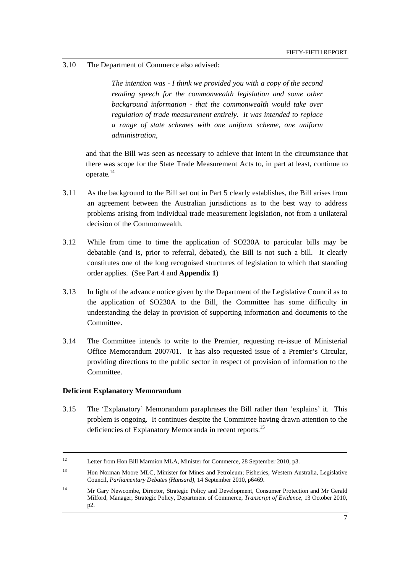#### 3.10 The Department of Commerce also advised:

*The intention was - I think we provided you with a copy of the second reading speech for the commonwealth legislation and some other background information - that the commonwealth would take over regulation of trade measurement entirely. It was intended to replace a range of state schemes with one uniform scheme, one uniform administration,* 

and that the Bill was seen as necessary to achieve that intent in the circumstance that there was scope for the State Trade Measurement Acts to, in part at least, continue to operate*.* 14

- 3.11 As the background to the Bill set out in Part 5 clearly establishes, the Bill arises from an agreement between the Australian jurisdictions as to the best way to address problems arising from individual trade measurement legislation, not from a unilateral decision of the Commonwealth.
- 3.12 While from time to time the application of SO230A to particular bills may be debatable (and is, prior to referral, debated), the Bill is not such a bill. It clearly constitutes one of the long recognised structures of legislation to which that standing order applies. (See Part 4 and **Appendix 1**)
- 3.13 In light of the advance notice given by the Department of the Legislative Council as to the application of SO230A to the Bill, the Committee has some difficulty in understanding the delay in provision of supporting information and documents to the Committee.
- 3.14 The Committee intends to write to the Premier, requesting re-issue of Ministerial Office Memorandum 2007/01. It has also requested issue of a Premier's Circular, providing directions to the public sector in respect of provision of information to the Committee.

#### **Deficient Explanatory Memorandum**

3.15 The 'Explanatory' Memorandum paraphrases the Bill rather than 'explains' it. This problem is ongoing. It continues despite the Committee having drawn attention to the deficiencies of Explanatory Memoranda in recent reports.<sup>15</sup>

<sup>&</sup>lt;sup>12</sup> Letter from Hon Bill Marmion MLA, Minister for Commerce, 28 September 2010, p3.

<sup>13</sup> Hon Norman Moore MLC, Minister for Mines and Petroleum; Fisheries, Western Australia, Legislative Council, *Parliamentary Debates (Hansard),* 14 September 2010, p6469.

<sup>&</sup>lt;sup>14</sup> Mr Gary Newcombe, Director, Strategic Policy and Development, Consumer Protection and Mr Gerald Milford, Manager, Strategic Policy, Department of Commerce, *Transcript of Evidence,* 13 October 2010, p2.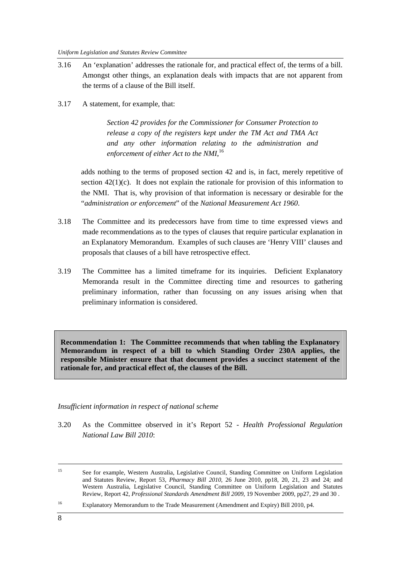- 3.16 An 'explanation' addresses the rationale for, and practical effect of, the terms of a bill. Amongst other things, an explanation deals with impacts that are not apparent from the terms of a clause of the Bill itself.
- 3.17 A statement, for example, that:

*Section 42 provides for the Commissioner for Consumer Protection to release a copy of the registers kept under the TM Act and TMA Act and any other information relating to the administration and enforcement of either Act to the NMI*, 16

adds nothing to the terms of proposed section 42 and is, in fact, merely repetitive of section  $42(1)(c)$ . It does not explain the rationale for provision of this information to the NMI. That is, why provision of that information is necessary or desirable for the "*administration or enforcement*" of the *National Measurement Act 1960*.

- 3.18 The Committee and its predecessors have from time to time expressed views and made recommendations as to the types of clauses that require particular explanation in an Explanatory Memorandum. Examples of such clauses are 'Henry VIII' clauses and proposals that clauses of a bill have retrospective effect.
- 3.19 The Committee has a limited timeframe for its inquiries. Deficient Explanatory Memoranda result in the Committee directing time and resources to gathering preliminary information, rather than focussing on any issues arising when that preliminary information is considered.

**Recommendation 1: The Committee recommends that when tabling the Explanatory Memorandum in respect of a bill to which Standing Order 230A applies, the responsible Minister ensure that that document provides a succinct statement of the rationale for, and practical effect of, the clauses of the Bill.** 

# *Insufficient information in respect of national scheme*

3.20 As the Committee observed in it's Report 52 - *Health Professional Regulation National Law Bill 2010*:

<sup>&</sup>lt;sup>15</sup> See for example, Western Australia, Legislative Council, Standing Committee on Uniform Legislation and Statutes Review, Report 53, *Pharmacy Bill 2010,* 26 June 2010, pp18, 20, 21, 23 and 24; and Western Australia, Legislative Council, Standing Committee on Uniform Legislation and Statutes Review, Report 42, *Professional Standards Amendment Bill 2009*, 19 November 2009, pp27, 29 and 30 .

<sup>16</sup> Explanatory Memorandum to the Trade Measurement (Amendment and Expiry) Bill 2010, p4.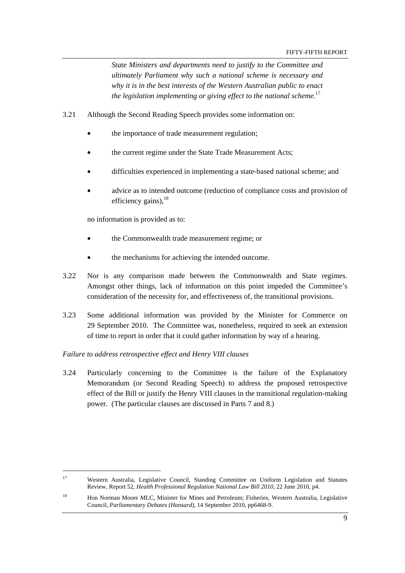*State Ministers and departments need to justify to the Committee and ultimately Parliament why such a national scheme is necessary and why it is in the best interests of the Western Australian public to enact the legislation implementing or giving effect to the national scheme.*<sup>17</sup>

- 3.21 Although the Second Reading Speech provides some information on:
	- the importance of trade measurement regulation;
	- the current regime under the State Trade Measurement Acts;
	- difficulties experienced in implementing a state-based national scheme; and
	- advice as to intended outcome (reduction of compliance costs and provision of efficiency gains),  $18$

no information is provided as to:

- the Commonwealth trade measurement regime; or
- the mechanisms for achieving the intended outcome.
- 3.22 Nor is any comparison made between the Commonwealth and State regimes. Amongst other things, lack of information on this point impeded the Committee's consideration of the necessity for, and effectiveness of, the transitional provisions.
- 3.23 Some additional information was provided by the Minister for Commerce on 29 September 2010. The Committee was, nonetheless, required to seek an extension of time to report in order that it could gather information by way of a hearing.

#### *Failure to address retrospective effect and Henry VIII clauses*

3.24 Particularly concerning to the Committee is the failure of the Explanatory Memorandum (or Second Reading Speech) to address the proposed retrospective effect of the Bill or justify the Henry VIII clauses in the transitional regulation-making power. (The particular clauses are discussed in Parts 7 and 8.)

<sup>&</sup>lt;sup>17</sup> Western Australia, Legislative Council, Standing Committee on Uniform Legislation and Statutes Review, Report 52, *Health Professional Regulation National Law Bill 2010*, 22 June 2010, p4.

<sup>&</sup>lt;sup>18</sup> Hon Norman Moore MLC, Minister for Mines and Petroleum; Fisheries, Western Australia, Legislative Council, *Parliamentary Debates (Hansard),* 14 September 2010, pp6468-9.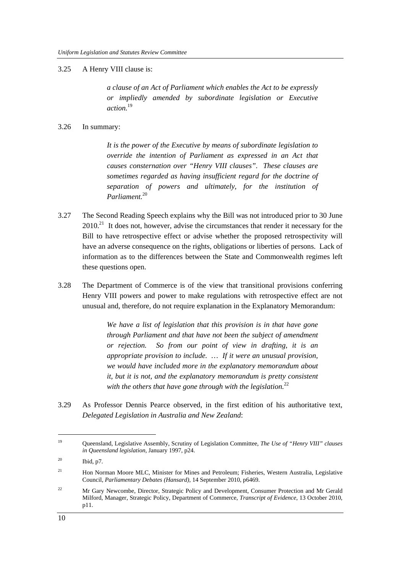#### 3.25 A Henry VIII clause is:

*a clause of an Act of Parliament which enables the Act to be expressly or impliedly amended by subordinate legislation or Executive action.*<sup>19</sup>

#### 3.26 In summary:

*It is the power of the Executive by means of subordinate legislation to override the intention of Parliament as expressed in an Act that causes consternation over "Henry VIII clauses". These clauses are sometimes regarded as having insufficient regard for the doctrine of separation of powers and ultimately, for the institution of Parliament.*<sup>20</sup>

- 3.27 The Second Reading Speech explains why the Bill was not introduced prior to 30 June  $2010<sup>21</sup>$  It does not, however, advise the circumstances that render it necessary for the Bill to have retrospective effect or advise whether the proposed retrospectivity will have an adverse consequence on the rights, obligations or liberties of persons. Lack of information as to the differences between the State and Commonwealth regimes left these questions open.
- 3.28 The Department of Commerce is of the view that transitional provisions conferring Henry VIII powers and power to make regulations with retrospective effect are not unusual and, therefore, do not require explanation in the Explanatory Memorandum:

*We have a list of legislation that this provision is in that have gone through Parliament and that have not been the subject of amendment or rejection. So from our point of view in drafting, it is an appropriate provision to include. … If it were an unusual provision, we would have included more in the explanatory memorandum about it, but it is not, and the explanatory memorandum is pretty consistent with the others that have gone through with the legislation.*<sup>22</sup>

3.29 As Professor Dennis Pearce observed, in the first edition of his authoritative text, *Delegated Legislation in Australia and New Zealand*:

<sup>19</sup> Queensland, Legislative Assembly, Scrutiny of Legislation Committee, *The Use of "Henry VIII" clauses in Queensland legislation*, January 1997, p24.

<sup>20</sup> Ibid, p7.

<sup>&</sup>lt;sup>21</sup> Hon Norman Moore MLC, Minister for Mines and Petroleum; Fisheries, Western Australia, Legislative Council, *Parliamentary Debates (Hansard),* 14 September 2010, p6469.

<sup>&</sup>lt;sup>22</sup> Mr Gary Newcombe, Director, Strategic Policy and Development, Consumer Protection and Mr Gerald Milford, Manager, Strategic Policy, Department of Commerce, *Transcript of Evidence,* 13 October 2010, p11.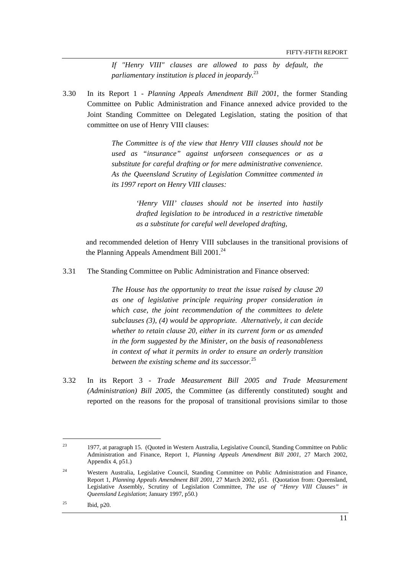*If "Henry VIII" clauses are allowed to pass by default, the parliamentary institution is placed in jeopardy.*<sup>23</sup>

3.30 In its Report 1 - *Planning Appeals Amendment Bill 2001*, the former Standing Committee on Public Administration and Finance annexed advice provided to the Joint Standing Committee on Delegated Legislation, stating the position of that committee on use of Henry VIII clauses:

> *The Committee is of the view that Henry VIII clauses should not be used as "insurance" against unforseen consequences or as a substitute for careful drafting or for mere administrative convenience. As the Queensland Scrutiny of Legislation Committee commented in its 1997 report on Henry VIII clauses:*

> > *'Henry VIII' clauses should not be inserted into hastily drafted legislation to be introduced in a restrictive timetable as a substitute for careful well developed drafting,*

and recommended deletion of Henry VIII subclauses in the transitional provisions of the Planning Appeals Amendment Bill  $2001.<sup>24</sup>$ 

3.31 The Standing Committee on Public Administration and Finance observed:

*The House has the opportunity to treat the issue raised by clause 20 as one of legislative principle requiring proper consideration in which case, the joint recommendation of the committees to delete subclauses (3), (4) would be appropriate. Alternatively, it can decide whether to retain clause 20, either in its current form or as amended in the form suggested by the Minister, on the basis of reasonableness in context of what it permits in order to ensure an orderly transition between the existing scheme and its successor.*<sup>25</sup>

3.32 In its Report 3 - *Trade Measurement Bill 2005 and Trade Measurement (Administration) Bill 2005*, the Committee (as differently constituted) sought and reported on the reasons for the proposal of transitional provisions similar to those

<sup>23 1977,</sup> at paragraph 15. (Quoted in Western Australia, Legislative Council, Standing Committee on Public Administration and Finance, Report 1, *Planning Appeals Amendment Bill 2001*, 27 March 2002, Appendix 4, p51.)

<sup>&</sup>lt;sup>24</sup> Western Australia, Legislative Council, Standing Committee on Public Administration and Finance, Report 1, *Planning Appeals Amendment Bill 2001*, 27 March 2002, p51. (Quotation from: Queensland, Legislative Assembly, Scrutiny of Legislation Committee, *The use of "Henry VIII Clauses" in Queensland Legislation*; January 1997, p50.)

<sup>25</sup> Ibid, p20.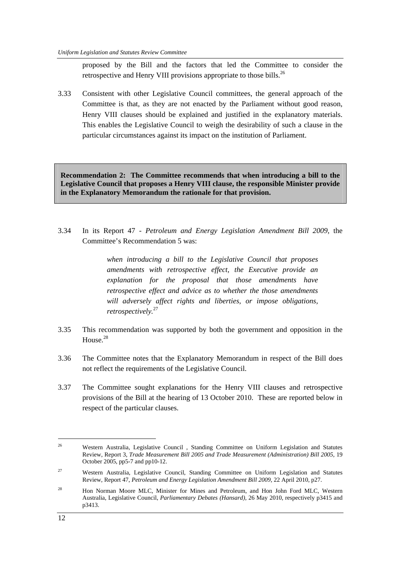proposed by the Bill and the factors that led the Committee to consider the retrospective and Henry VIII provisions appropriate to those bills.<sup>26</sup>

3.33 Consistent with other Legislative Council committees, the general approach of the Committee is that, as they are not enacted by the Parliament without good reason, Henry VIII clauses should be explained and justified in the explanatory materials. This enables the Legislative Council to weigh the desirability of such a clause in the particular circumstances against its impact on the institution of Parliament.

**Recommendation 2: The Committee recommends that when introducing a bill to the Legislative Council that proposes a Henry VIII clause, the responsible Minister provide in the Explanatory Memorandum the rationale for that provision.** 

3.34 In its Report 47 - *Petroleum and Energy Legislation Amendment Bill 2009*, the Committee's Recommendation 5 was:

> *when introducing a bill to the Legislative Council that proposes amendments with retrospective effect, the Executive provide an explanation for the proposal that those amendments have retrospective effect and advice as to whether the those amendments will adversely affect rights and liberties, or impose obligations, retrospectively.*<sup>27</sup>

- 3.35 This recommendation was supported by both the government and opposition in the House.<sup>28</sup>
- 3.36 The Committee notes that the Explanatory Memorandum in respect of the Bill does not reflect the requirements of the Legislative Council.
- 3.37 The Committee sought explanations for the Henry VIII clauses and retrospective provisions of the Bill at the hearing of 13 October 2010. These are reported below in respect of the particular clauses.

<sup>&</sup>lt;sup>26</sup> Western Australia, Legislative Council, Standing Committee on Uniform Legislation and Statutes Review, Report 3, *Trade Measurement Bill 2005 and Trade Measurement (Administration) Bill 2005,* 19 October 2005, pp5-7 and pp10-12.

<sup>&</sup>lt;sup>27</sup> Western Australia, Legislative Council, Standing Committee on Uniform Legislation and Statutes Review, Report 47, *Petroleum and Energy Legislation Amendment Bill 2009,* 22 April 2010, p27.

<sup>&</sup>lt;sup>28</sup> Hon Norman Moore MLC, Minister for Mines and Petroleum, and Hon John Ford MLC, Western Australia, Legislative Council, *Parliamentary Debates (Hansard),* 26 May 2010, respectively p3415 and p3413.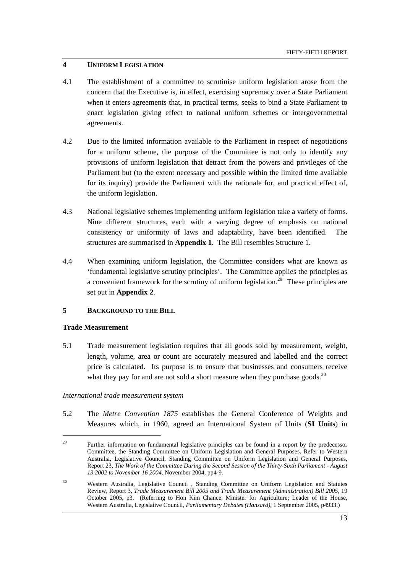### **4 UNIFORM LEGISLATION**

- 4.1 The establishment of a committee to scrutinise uniform legislation arose from the concern that the Executive is, in effect, exercising supremacy over a State Parliament when it enters agreements that, in practical terms, seeks to bind a State Parliament to enact legislation giving effect to national uniform schemes or intergovernmental agreements.
- 4.2 Due to the limited information available to the Parliament in respect of negotiations for a uniform scheme, the purpose of the Committee is not only to identify any provisions of uniform legislation that detract from the powers and privileges of the Parliament but (to the extent necessary and possible within the limited time available for its inquiry) provide the Parliament with the rationale for, and practical effect of, the uniform legislation.
- 4.3 National legislative schemes implementing uniform legislation take a variety of forms. Nine different structures, each with a varying degree of emphasis on national consistency or uniformity of laws and adaptability, have been identified. The structures are summarised in **Appendix 1**. The Bill resembles Structure 1.
- 4.4 When examining uniform legislation, the Committee considers what are known as 'fundamental legislative scrutiny principles'. The Committee applies the principles as a convenient framework for the scrutiny of uniform legislation.<sup>29</sup> These principles are set out in **Appendix 2**.

## **5 BACKGROUND TO THE BILL**

#### **Trade Measurement**

5.1 Trade measurement legislation requires that all goods sold by measurement, weight, length, volume, area or count are accurately measured and labelled and the correct price is calculated. Its purpose is to ensure that businesses and consumers receive what they pay for and are not sold a short measure when they purchase goods.<sup>30</sup>

#### *International trade measurement system*

5.2 The *Metre Convention 1875* establishes the General Conference of Weights and Measures which, in 1960, agreed an International System of Units (**SI Units**) in

<sup>&</sup>lt;sup>29</sup> Further information on fundamental legislative principles can be found in a report by the predecessor Committee, the Standing Committee on Uniform Legislation and General Purposes. Refer to Western Australia, Legislative Council, Standing Committee on Uniform Legislation and General Purposes, Report 23, *The Work of the Committee During the Second Session of the Thirty-Sixth Parliament - August 13 2002 to November 16 2004*, November 2004, pp4-9.

<sup>30</sup> Western Australia, Legislative Council , Standing Committee on Uniform Legislation and Statutes Review, Report 3, *Trade Measurement Bill 2005 and Trade Measurement (Administration) Bill 2005,* 19 October 2005, p3. (Referring to Hon Kim Chance, Minister for Agriculture; Leader of the House, Western Australia, Legislative Council, *Parliamentary Debates (Hansard)*, 1 September 2005, p4933.)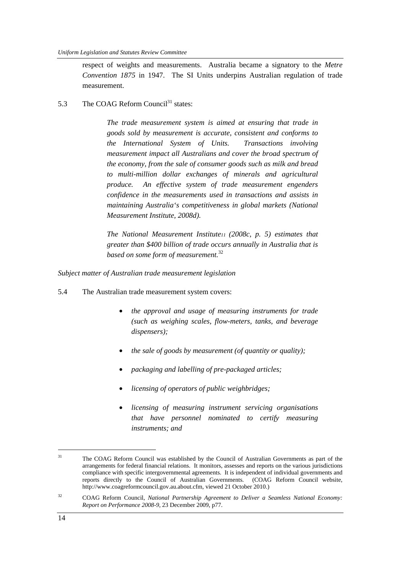respect of weights and measurements. Australia became a signatory to the *Metre Convention 1875* in 1947. The SI Units underpins Australian regulation of trade measurement.

5.3 The COAG Reform Council<sup>31</sup> states:

*The trade measurement system is aimed at ensuring that trade in goods sold by measurement is accurate, consistent and conforms to the International System of Units. Transactions involving measurement impact all Australians and cover the broad spectrum of the economy, from the sale of consumer goods such as milk and bread to multi-million dollar exchanges of minerals and agricultural produce. An effective system of trade measurement engenders confidence in the measurements used in transactions and assists in maintaining Australia's competitiveness in global markets (National Measurement Institute, 2008d).* 

*The National Measurement Institute11 (2008c, p. 5) estimates that greater than \$400 billion of trade occurs annually in Australia that is based on some form of measurement.*<sup>32</sup>

*Subject matter of Australian trade measurement legislation* 

- 5.4 The Australian trade measurement system covers:
	- *the approval and usage of measuring instruments for trade (such as weighing scales, flow-meters, tanks, and beverage dispensers);*
	- *the sale of goods by measurement (of quantity or quality);*
	- *packaging and labelling of pre-packaged articles;*
	- *licensing of operators of public weighbridges;*
	- *licensing of measuring instrument servicing organisations that have personnel nominated to certify measuring instruments; and*

 $\overline{a}$ 

<sup>&</sup>lt;sup>31</sup> The COAG Reform Council was established by the Council of Australian Governments as part of the arrangements for federal financial relations. It monitors, assesses and reports on the various jurisdictions compliance with specific intergovernmental agreements. It is independent of individual governments and reports directly to the Council of Australian Governments. (COAG Reform Council website, http://www.coagreformcouncil.gov.au.about.cfm, viewed 21 October 2010.)

<sup>32</sup> COAG Reform Council, *National Partnership Agreement to Deliver a Seamless National Economy: Report on Performance 2008-9*, 23 December 2009, p77.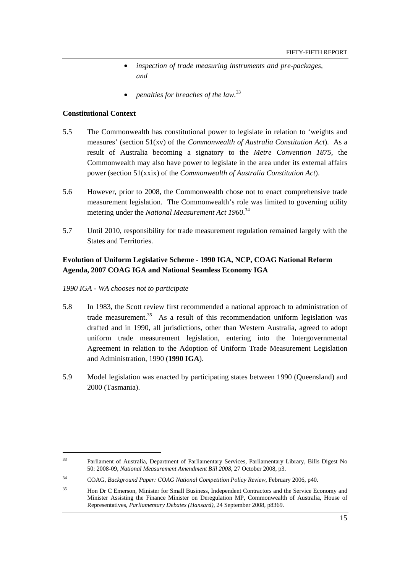- *inspection of trade measuring instruments and pre-packages, and*
- *penalties for breaches of the law.*<sup>33</sup>

#### **Constitutional Context**

- 5.5 The Commonwealth has constitutional power to legislate in relation to 'weights and measures' (section 51(xv) of the *Commonwealth of Australia Constitution Act*). As a result of Australia becoming a signatory to the *Metre Convention 1875*, the Commonwealth may also have power to legislate in the area under its external affairs power (section 51(xxix) of the *Commonwealth of Australia Constitution Act*).
- 5.6 However, prior to 2008, the Commonwealth chose not to enact comprehensive trade measurement legislation. The Commonwealth's role was limited to governing utility metering under the *National Measurement Act 1960*. 34
- 5.7 Until 2010, responsibility for trade measurement regulation remained largely with the States and Territories.

# **Evolution of Uniform Legislative Scheme - 1990 IGA, NCP, COAG National Reform Agenda, 2007 COAG IGA and National Seamless Economy IGA**

#### *1990 IGA - WA chooses not to participate*

- 5.8 In 1983, the Scott review first recommended a national approach to administration of trade measurement.<sup>35</sup> As a result of this recommendation uniform legislation was drafted and in 1990, all jurisdictions, other than Western Australia, agreed to adopt uniform trade measurement legislation, entering into the Intergovernmental Agreement in relation to the Adoption of Uniform Trade Measurement Legislation and Administration, 1990 (**1990 IGA**).
- 5.9 Model legislation was enacted by participating states between 1990 (Queensland) and 2000 (Tasmania).

<sup>33</sup> Parliament of Australia, Department of Parliamentary Services, Parliamentary Library, Bills Digest No 50: 2008-09, *National Measurement Amendment Bill 2008*, 27 October 2008, p3.

<sup>34</sup> COAG, *Background Paper: COAG National Competition Policy Review*, February 2006, p40.

<sup>35</sup> Hon Dr C Emerson, Minister for Small Business, Independent Contractors and the Service Economy and Minister Assisting the Finance Minister on Deregulation MP, Commonwealth of Australia, House of Representatives, *Parliamentary Debates (Hansard),* 24 September 2008, p8369.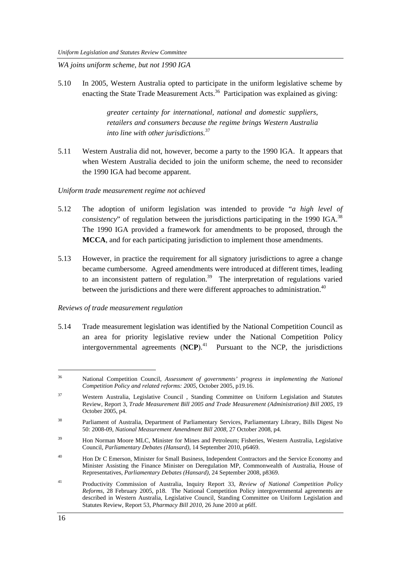*WA joins uniform scheme, but not 1990 IGA* 

5.10 In 2005, Western Australia opted to participate in the uniform legislative scheme by enacting the State Trade Measurement Acts.<sup>36</sup> Participation was explained as giving:

> *greater certainty for international, national and domestic suppliers, retailers and consumers because the regime brings Western Australia into line with other jurisdictions.*<sup>37</sup>

5.11 Western Australia did not, however, become a party to the 1990 IGA. It appears that when Western Australia decided to join the uniform scheme, the need to reconsider the 1990 IGA had become apparent.

#### *Uniform trade measurement regime not achieved*

- 5.12 The adoption of uniform legislation was intended to provide "*a high level of consistency*" of regulation between the jurisdictions participating in the 1990 IGA.<sup>38</sup> The 1990 IGA provided a framework for amendments to be proposed, through the **MCCA**, and for each participating jurisdiction to implement those amendments.
- 5.13 However, in practice the requirement for all signatory jurisdictions to agree a change became cumbersome. Agreed amendments were introduced at different times, leading to an inconsistent pattern of regulation.<sup>39</sup> The interpretation of regulations varied between the jurisdictions and there were different approaches to administration.<sup>40</sup>

#### *Reviews of trade measurement regulation*

5.14 Trade measurement legislation was identified by the National Competition Council as an area for priority legislative review under the National Competition Policy intergovernmental agreements  $(NCP)$ .<sup>41</sup> Pursuant to the NCP, the jurisdictions

<sup>36</sup> National Competition Council, *Assessment of governments' progress in implementing the National Competition Policy and related reforms: 2005*, October 2005, p19.16.

<sup>37</sup> Western Australia, Legislative Council , Standing Committee on Uniform Legislation and Statutes Review, Report 3, *Trade Measurement Bill 2005 and Trade Measurement (Administration) Bill 2005,* 19 October 2005, p4.

<sup>38</sup> Parliament of Australia, Department of Parliamentary Services, Parliamentary Library, Bills Digest No 50: 2008-09, *National Measurement Amendment Bill 2008*, 27 October 2008, p4.

<sup>&</sup>lt;sup>39</sup> Hon Norman Moore MLC, Minister for Mines and Petroleum; Fisheries, Western Australia, Legislative Council, *Parliamentary Debates (Hansard),* 14 September 2010, p6469.

<sup>&</sup>lt;sup>40</sup> Hon Dr C Emerson, Minister for Small Business, Independent Contractors and the Service Economy and Minister Assisting the Finance Minister on Deregulation MP, Commonwealth of Australia, House of Representatives, *Parliamentary Debates (Hansard),* 24 September 2008, p8369.

<sup>41</sup> Productivity Commission of Australia, Inquiry Report 33, *Review of National Competition Policy Reforms,* 28 February 2005, p18. The National Competition Policy intergovernmental agreements are described in Western Australia, Legislative Council, Standing Committee on Uniform Legislation and Statutes Review, Report 53, *Pharmacy Bill 2010,* 26 June 2010 at p6ff.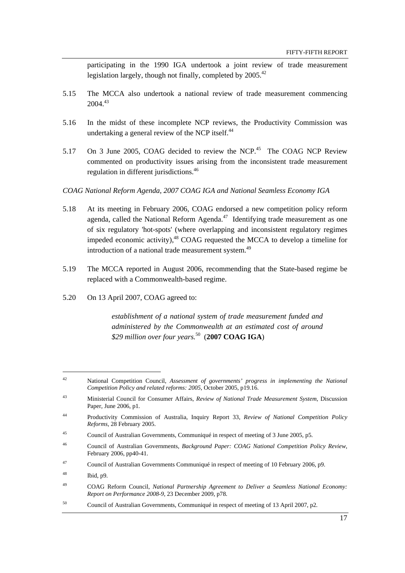participating in the 1990 IGA undertook a joint review of trade measurement legislation largely, though not finally, completed by  $2005<sup>42</sup>$ 

- 5.15 The MCCA also undertook a national review of trade measurement commencing  $2004^{43}$
- 5.16 In the midst of these incomplete NCP reviews, the Productivity Commission was undertaking a general review of the NCP itself.<sup>44</sup>
- 5.17 On 3 June 2005, COAG decided to review the NCP.<sup>45</sup> The COAG NCP Review commented on productivity issues arising from the inconsistent trade measurement regulation in different jurisdictions.<sup>46</sup>

*COAG National Reform Agenda, 2007 COAG IGA and National Seamless Economy IGA* 

- 5.18 At its meeting in February 2006, COAG endorsed a new competition policy reform agenda, called the National Reform Agenda. $47$  Identifying trade measurement as one of six regulatory 'hot-spots' (where overlapping and inconsistent regulatory regimes impeded economic activity),<sup>48</sup> COAG requested the MCCA to develop a timeline for introduction of a national trade measurement system.<sup>49</sup>
- 5.19 The MCCA reported in August 2006, recommending that the State-based regime be replaced with a Commonwealth-based regime.
- 5.20 On 13 April 2007, COAG agreed to:

*establishment of a national system of trade measurement funded and administered by the Commonwealth at an estimated cost of around \$29 million over four years.*<sup>50</sup>(**2007 COAG IGA**)

<sup>42</sup> National Competition Council, *Assessment of governments' progress in implementing the National Competition Policy and related reforms: 2005*, October 2005, p19.16.

<sup>43</sup> Ministerial Council for Consumer Affairs, *Review of National Trade Measurement System*, Discussion Paper, June 2006, p1.

<sup>44</sup> Productivity Commission of Australia, Inquiry Report 33, *Review of National Competition Policy Reforms,* 28 February 2005.

<sup>45</sup> Council of Australian Governments, Communiqué in respect of meeting of 3 June 2005, p5.

<sup>46</sup> Council of Australian Governments, *Background Paper: COAG National Competition Policy Review*, February 2006, pp40-41.

<sup>47</sup> Council of Australian Governments Communiqué in respect of meeting of 10 February 2006, p9.

 $^{48}$  Ibid, p9.

<sup>49</sup> COAG Reform Council, *National Partnership Agreement to Deliver a Seamless National Economy: Report on Performance 2008-9*, 23 December 2009, p78.

<sup>50</sup> Council of Australian Governments, Communiqué in respect of meeting of 13 April 2007, p2.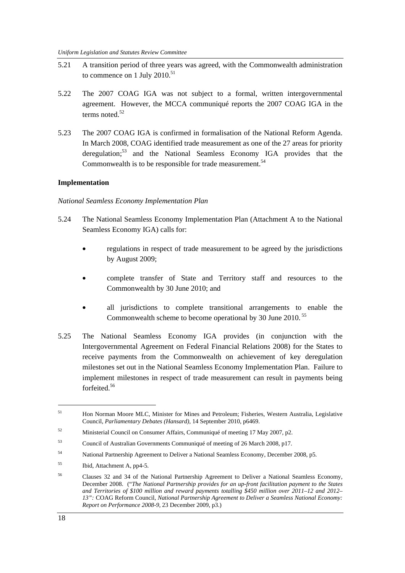- 5.21 A transition period of three years was agreed, with the Commonwealth administration to commence on 1 July  $2010^{51}$
- 5.22 The 2007 COAG IGA was not subject to a formal, written intergovernmental agreement. However, the MCCA communiqué reports the 2007 COAG IGA in the terms noted. $52$
- 5.23 The 2007 COAG IGA is confirmed in formalisation of the National Reform Agenda. In March 2008, COAG identified trade measurement as one of the 27 areas for priority deregulation;<sup>53</sup> and the National Seamless Economy IGA provides that the Commonwealth is to be responsible for trade measurement.<sup>54</sup>

#### **Implementation**

#### *National Seamless Economy Implementation Plan*

- 5.24 The National Seamless Economy Implementation Plan (Attachment A to the National Seamless Economy IGA) calls for:
	- regulations in respect of trade measurement to be agreed by the jurisdictions by August 2009;
	- complete transfer of State and Territory staff and resources to the Commonwealth by 30 June 2010; and
	- all jurisdictions to complete transitional arrangements to enable the Commonwealth scheme to become operational by 30 June 2010.<sup>55</sup>
- 5.25 The National Seamless Economy IGA provides (in conjunction with the Intergovernmental Agreement on Federal Financial Relations 2008) for the States to receive payments from the Commonwealth on achievement of key deregulation milestones set out in the National Seamless Economy Implementation Plan. Failure to implement milestones in respect of trade measurement can result in payments being forfeited.56

<sup>51</sup> Hon Norman Moore MLC, Minister for Mines and Petroleum; Fisheries, Western Australia, Legislative Council, *Parliamentary Debates (Hansard),* 14 September 2010, p6469.

<sup>52</sup> Ministerial Council on Consumer Affairs, Communiqué of meeting 17 May 2007, p2.

<sup>53</sup> Council of Australian Governments Communiqué of meeting of 26 March 2008, p17.

<sup>54</sup> National Partnership Agreement to Deliver a National Seamless Economy, December 2008, p5.

<sup>55</sup> Ibid, Attachment A, pp4-5.

<sup>56</sup> Clauses 32 and 34 of the National Partnership Agreement to Deliver a National Seamless Economy, December 2008. ("*The National Partnership provides for an up-front facilitation payment to the States and Territories of \$100 million and reward payments totalling \$450 million over 2011–12 and 2012– 13":* COAG Reform Council, *National Partnership Agreement to Deliver a Seamless National Economy: Report on Performance 2008-9*, 23 December 2009, p3.)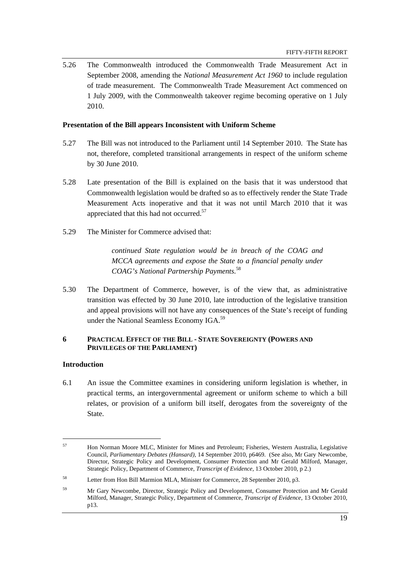5.26 The Commonwealth introduced the Commonwealth Trade Measurement Act in September 2008, amending the *National Measurement Act 1960* to include regulation of trade measurement. The Commonwealth Trade Measurement Act commenced on 1 July 2009, with the Commonwealth takeover regime becoming operative on 1 July 2010.

#### **Presentation of the Bill appears Inconsistent with Uniform Scheme**

- 5.27 The Bill was not introduced to the Parliament until 14 September 2010. The State has not, therefore, completed transitional arrangements in respect of the uniform scheme by 30 June 2010.
- 5.28 Late presentation of the Bill is explained on the basis that it was understood that Commonwealth legislation would be drafted so as to effectively render the State Trade Measurement Acts inoperative and that it was not until March 2010 that it was appreciated that this had not occurred.<sup>57</sup>
- 5.29 The Minister for Commerce advised that:

*continued State regulation would be in breach of the COAG and MCCA agreements and expose the State to a financial penalty under COAG's National Partnership Payments.*<sup>58</sup>

5.30 The Department of Commerce, however, is of the view that, as administrative transition was effected by 30 June 2010, late introduction of the legislative transition and appeal provisions will not have any consequences of the State's receipt of funding under the National Seamless Economy IGA.59

#### **6 PRACTICAL EFFECT OF THE BILL - STATE SOVEREIGNTY (POWERS AND PRIVILEGES OF THE PARLIAMENT)**

#### **Introduction**

6.1 An issue the Committee examines in considering uniform legislation is whether, in practical terms, an intergovernmental agreement or uniform scheme to which a bill relates, or provision of a uniform bill itself, derogates from the sovereignty of the State.

<sup>57</sup> Hon Norman Moore MLC, Minister for Mines and Petroleum; Fisheries, Western Australia, Legislative Council, *Parliamentary Debates (Hansard),* 14 September 2010, p6469. (See also, Mr Gary Newcombe, Director, Strategic Policy and Development, Consumer Protection and Mr Gerald Milford, Manager, Strategic Policy, Department of Commerce, *Transcript of Evidence,* 13 October 2010, p 2.)

<sup>58</sup> Letter from Hon Bill Marmion MLA, Minister for Commerce, 28 September 2010, p3.

<sup>&</sup>lt;sup>59</sup> Mr Gary Newcombe, Director, Strategic Policy and Development, Consumer Protection and Mr Gerald Milford, Manager, Strategic Policy, Department of Commerce, *Transcript of Evidence,* 13 October 2010, p13.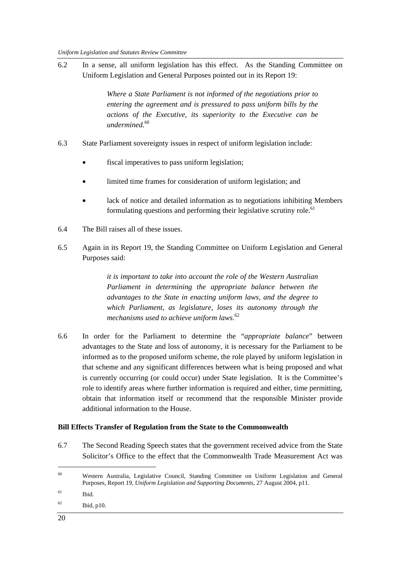6.2 In a sense, all uniform legislation has this effect. As the Standing Committee on Uniform Legislation and General Purposes pointed out in its Report 19:

> *Where a State Parliament is not informed of the negotiations prior to entering the agreement and is pressured to pass uniform bills by the actions of the Executive, its superiority to the Executive can be undermined.*<sup>60</sup>

- 6.3 State Parliament sovereignty issues in respect of uniform legislation include:
	- fiscal imperatives to pass uniform legislation;
	- limited time frames for consideration of uniform legislation; and
	- lack of notice and detailed information as to negotiations inhibiting Members formulating questions and performing their legislative scrutiny role.<sup>61</sup>
- 6.4 The Bill raises all of these issues.
- 6.5 Again in its Report 19, the Standing Committee on Uniform Legislation and General Purposes said:

*it is important to take into account the role of the Western Australian Parliament in determining the appropriate balance between the advantages to the State in enacting uniform laws, and the degree to which Parliament, as legislature, loses its autonomy through the mechanisms used to achieve uniform laws*. 62

6.6 In order for the Parliament to determine the "*appropriate balance*" between advantages to the State and loss of autonomy, it is necessary for the Parliament to be informed as to the proposed uniform scheme, the role played by uniform legislation in that scheme and any significant differences between what is being proposed and what is currently occurring (or could occur) under State legislation. It is the Committee's role to identify areas where further information is required and either, time permitting, obtain that information itself or recommend that the responsible Minister provide additional information to the House.

# **Bill Effects Transfer of Regulation from the State to the Commonwealth**

6.7 The Second Reading Speech states that the government received advice from the State Solicitor's Office to the effect that the Commonwealth Trade Measurement Act was

 $\overline{a}$ 

<sup>60</sup> Western Australia, Legislative Council, Standing Committee on Uniform Legislation and General Purposes, Report 19, *Uniform Legislation and Supporting Documents,* 27 August 2004, p11.

<sup>61</sup> Ibid.

 $62$  Ibid, p10.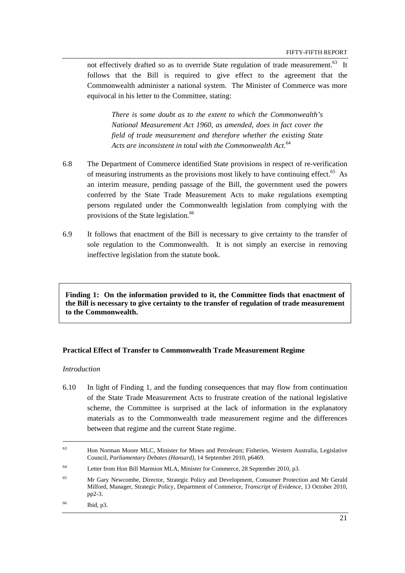not effectively drafted so as to override State regulation of trade measurement.<sup>63</sup> It follows that the Bill is required to give effect to the agreement that the Commonwealth administer a national system. The Minister of Commerce was more equivocal in his letter to the Committee, stating:

*There is some doubt as to the extent to which the Commonwealth's National Measurement Act 1960, as amended, does in fact cover the field of trade measurement and therefore whether the existing State Acts are inconsistent in total with the Commonwealth Act.*<sup>64</sup>

- 6.8 The Department of Commerce identified State provisions in respect of re-verification of measuring instruments as the provisions most likely to have continuing effect.<sup>65</sup> As an interim measure, pending passage of the Bill, the government used the powers conferred by the State Trade Measurement Acts to make regulations exempting persons regulated under the Commonwealth legislation from complying with the provisions of the State legislation.<sup>66</sup>
- 6.9 It follows that enactment of the Bill is necessary to give certainty to the transfer of sole regulation to the Commonwealth. It is not simply an exercise in removing ineffective legislation from the statute book.

**Finding 1: On the information provided to it, the Committee finds that enactment of the Bill is necessary to give certainty to the transfer of regulation of trade measurement to the Commonwealth.** 

#### **Practical Effect of Transfer to Commonwealth Trade Measurement Regime**

#### *Introduction*

 $\overline{a}$ 

6.10 In light of Finding 1, and the funding consequences that may flow from continuation of the State Trade Measurement Acts to frustrate creation of the national legislative scheme, the Committee is surprised at the lack of information in the explanatory materials as to the Commonwealth trade measurement regime and the differences between that regime and the current State regime.

<sup>&</sup>lt;sup>63</sup> Hon Norman Moore MLC, Minister for Mines and Petroleum; Fisheries, Western Australia, Legislative Council, *Parliamentary Debates (Hansard),* 14 September 2010, p6469.

<sup>64</sup> Letter from Hon Bill Marmion MLA, Minister for Commerce, 28 September 2010, p3.

<sup>65</sup> Mr Gary Newcombe, Director, Strategic Policy and Development, Consumer Protection and Mr Gerald Milford, Manager, Strategic Policy, Department of Commerce, *Transcript of Evidence,* 13 October 2010, pp2-3.

<sup>66</sup> Ibid, p3.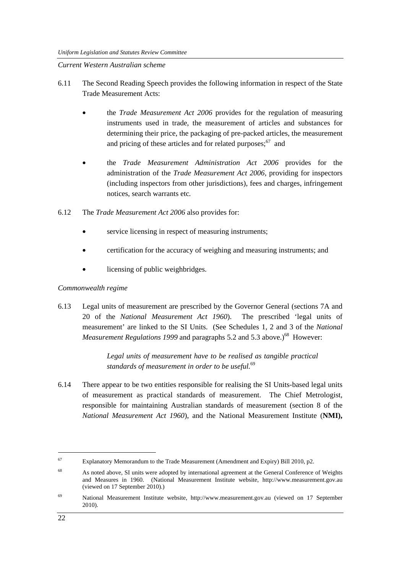#### *Current Western Australian scheme*

- 6.11 The Second Reading Speech provides the following information in respect of the State Trade Measurement Acts:
	- the *Trade Measurement Act 2006* provides for the regulation of measuring instruments used in trade, the measurement of articles and substances for determining their price, the packaging of pre-packed articles, the measurement and pricing of these articles and for related purposes; $67$  and
	- the *Trade Measurement Administration Act 2006* provides for the administration of the *Trade Measurement Act 2006,* providing for inspectors (including inspectors from other jurisdictions), fees and charges, infringement notices, search warrants etc*.*
- 6.12 The *Trade Measurement Act 2006* also provides for:
	- service licensing in respect of measuring instruments;
	- certification for the accuracy of weighing and measuring instruments; and
	- licensing of public weighbridges.

# *Commonwealth regime*

6.13 Legal units of measurement are prescribed by the Governor General (sections 7A and 20 of the *National Measurement Act 1960*). The prescribed 'legal units of measurement' are linked to the SI Units. (See Schedules 1, 2 and 3 of the *National Measurement Regulations 1999* and paragraphs 5.2 and 5.3 above.)<sup>68</sup> However:

> *Legal units of measurement have to be realised as tangible practical standards of measurement in order to be useful.*<sup>69</sup>

6.14 There appear to be two entities responsible for realising the SI Units-based legal units of measurement as practical standards of measurement. The Chief Metrologist, responsible for maintaining Australian standards of measurement (section 8 of the *National Measurement Act 1960*), and the National Measurement Institute (**NMI),** 

<sup>67</sup> Explanatory Memorandum to the Trade Measurement (Amendment and Expiry) Bill 2010, p2.

<sup>68</sup> As noted above, SI units were adopted by international agreement at the General Conference of Weights and Measures in 1960. (National Measurement Institute website, http://www.measurement.gov.au (viewed on 17 September 2010).)

<sup>69</sup> National Measurement Institute website, http://www.measurement.gov.au (viewed on 17 September 2010).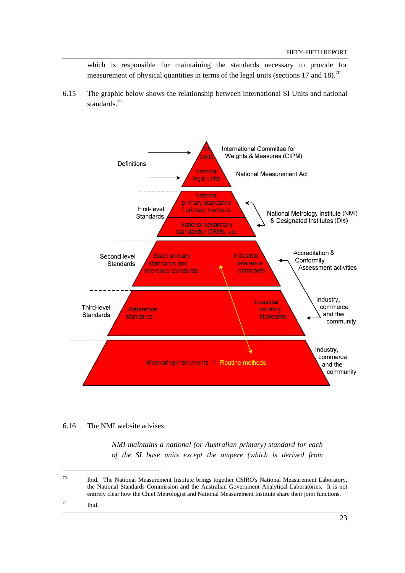which is responsible for maintaining the standards necessary to provide for measurement of physical quantities in terms of the legal units (sections 17 and 18).<sup>70</sup>

6.15 The graphic below shows the relationship between international SI Units and national standards.<sup>71</sup>



#### 6.16 The NMI website advises:

*NMI maintains a national (or Australian primary) standard for each of the SI base units except the ampere (which is derived from* 

71 Ibid.

 $70$  Ibid. The National Measurement Institute brings together CSIRO's National Measurement Laboratory, the National Standards Commission and the Australian Government Analytical Laboratories. It is not entirely clear how the Chief Metrologist and National Measurement Institute share their joint functions.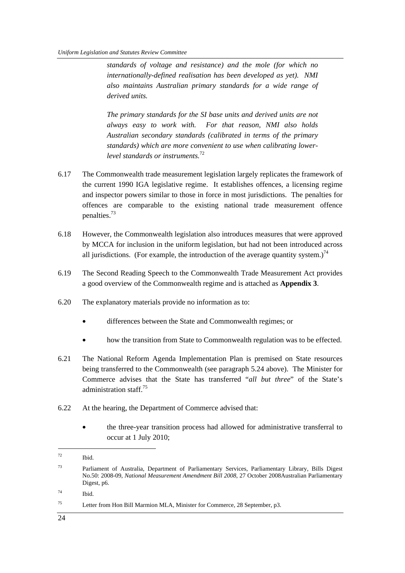*standards of voltage and resistance) and the mole (for which no internationally-defined realisation has been developed as yet). NMI also maintains Australian primary standards for a wide range of derived units.* 

*The primary standards for the SI base units and derived units are not always easy to work with. For that reason, NMI also holds Australian secondary standards (calibrated in terms of the primary standards) which are more convenient to use when calibrating lowerlevel standards or instruments.*<sup>72</sup>

- 6.17 The Commonwealth trade measurement legislation largely replicates the framework of the current 1990 IGA legislative regime. It establishes offences, a licensing regime and inspector powers similar to those in force in most jurisdictions. The penalties for offences are comparable to the existing national trade measurement offence penalties.73
- 6.18 However, the Commonwealth legislation also introduces measures that were approved by MCCA for inclusion in the uniform legislation, but had not been introduced across all jurisdictions. (For example, the introduction of the average quantity system.)<sup>74</sup>
- 6.19 The Second Reading Speech to the Commonwealth Trade Measurement Act provides a good overview of the Commonwealth regime and is attached as **Appendix 3**.
- 6.20 The explanatory materials provide no information as to:
	- differences between the State and Commonwealth regimes; or
	- how the transition from State to Commonwealth regulation was to be effected.
- 6.21 The National Reform Agenda Implementation Plan is premised on State resources being transferred to the Commonwealth (see paragraph 5.24 above). The Minister for Commerce advises that the State has transferred "*all but three*" of the State's administration staff<sup>75</sup>
- 6.22 At the hearing, the Department of Commerce advised that:
	- the three-year transition process had allowed for administrative transferral to occur at 1 July 2010;

<sup>72</sup> Ibid.

<sup>73</sup> Parliament of Australia, Department of Parliamentary Services, Parliamentary Library, Bills Digest No.50: 2008-09, *National Measurement Amendment Bill 2008*, 27 October 2008Australian Parliamentary Digest, p6.

<sup>74</sup> Ibid.

<sup>75</sup> Letter from Hon Bill Marmion MLA, Minister for Commerce, 28 September, p3.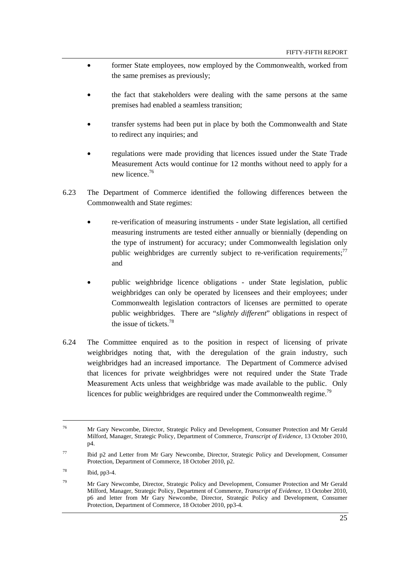- former State employees, now employed by the Commonwealth, worked from the same premises as previously;
- the fact that stakeholders were dealing with the same persons at the same premises had enabled a seamless transition;
- transfer systems had been put in place by both the Commonwealth and State to redirect any inquiries; and
- regulations were made providing that licences issued under the State Trade Measurement Acts would continue for 12 months without need to apply for a new licence.<sup>76</sup>
- 6.23 The Department of Commerce identified the following differences between the Commonwealth and State regimes:
	- re-verification of measuring instruments under State legislation, all certified measuring instruments are tested either annually or biennially (depending on the type of instrument) for accuracy; under Commonwealth legislation only public weighbridges are currently subject to re-verification requirements; $^{77}$ and
	- public weighbridge licence obligations under State legislation, public weighbridges can only be operated by licensees and their employees; under Commonwealth legislation contractors of licenses are permitted to operate public weighbridges. There are "*slightly different*" obligations in respect of the issue of tickets.<sup>78</sup>
- 6.24 The Committee enquired as to the position in respect of licensing of private weighbridges noting that, with the deregulation of the grain industry, such weighbridges had an increased importance. The Department of Commerce advised that licences for private weighbridges were not required under the State Trade Measurement Acts unless that weighbridge was made available to the public. Only licences for public weighbridges are required under the Commonwealth regime.<sup>79</sup>

 $\overline{a}$ 

<sup>76</sup> Mr Gary Newcombe, Director, Strategic Policy and Development, Consumer Protection and Mr Gerald Milford, Manager, Strategic Policy, Department of Commerce, *Transcript of Evidence,* 13 October 2010, p4.

<sup>77</sup> Ibid p2 and Letter from Mr Gary Newcombe, Director, Strategic Policy and Development, Consumer Protection, Department of Commerce, 18 October 2010, p2.

 $^{78}$  Ibid, pp3-4.

<sup>&</sup>lt;sup>79</sup> Mr Gary Newcombe, Director, Strategic Policy and Development, Consumer Protection and Mr Gerald Milford, Manager, Strategic Policy, Department of Commerce, *Transcript of Evidence,* 13 October 2010, p6 and letter from Mr Gary Newcombe, Director, Strategic Policy and Development, Consumer Protection, Department of Commerce, 18 October 2010, pp3-4.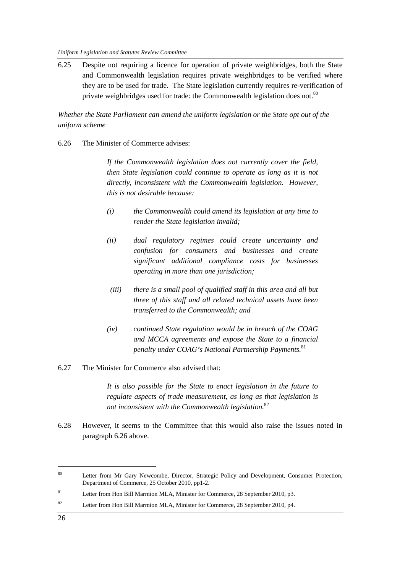6.25 Despite not requiring a licence for operation of private weighbridges, both the State and Commonwealth legislation requires private weighbridges to be verified where they are to be used for trade. The State legislation currently requires re-verification of private weighbridges used for trade: the Commonwealth legislation does not.<sup>80</sup>

*Whether the State Parliament can amend the uniform legislation or the State opt out of the uniform scheme* 

6.26 The Minister of Commerce advises:

*If the Commonwealth legislation does not currently cover the field, then State legislation could continue to operate as long as it is not directly, inconsistent with the Commonwealth legislation. However, this is not desirable because:* 

- *(i) the Commonwealth could amend its legislation at any time to render the State legislation invalid;*
- *(ii) dual regulatory regimes could create uncertainty and confusion for consumers and businesses and create significant additional compliance costs for businesses operating in more than one jurisdiction;*
- *(iii) there is a small pool of qualified staff in this area and all but three of this staff and all related technical assets have been transferred to the Commonwealth; and*
- *(iv) continued State regulation would be in breach of the COAG and MCCA agreements and expose the State to a financial penalty under COAG's National Partnership Payments.*<sup>81</sup>
- 6.27 The Minister for Commerce also advised that:

*It is also possible for the State to enact legislation in the future to regulate aspects of trade measurement, as long as that legislation is not inconsistent with the Commonwealth legislation.*<sup>82</sup>

6.28 However, it seems to the Committee that this would also raise the issues noted in paragraph 6.26 above.

<sup>&</sup>lt;sup>80</sup> Letter from Mr Gary Newcombe, Director, Strategic Policy and Development, Consumer Protection, Department of Commerce, 25 October 2010, pp1-2.

<sup>&</sup>lt;sup>81</sup> Letter from Hon Bill Marmion MLA, Minister for Commerce, 28 September 2010, p3.

<sup>&</sup>lt;sup>82</sup> Letter from Hon Bill Marmion MLA, Minister for Commerce, 28 September 2010, p4.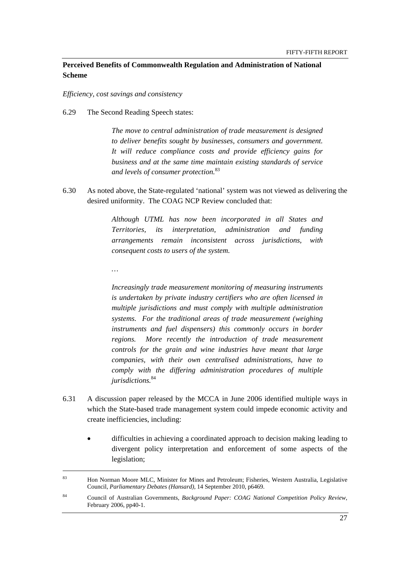# **Perceived Benefits of Commonwealth Regulation and Administration of National Scheme**

*Efficiency, cost savings and consistency* 

6.29 The Second Reading Speech states:

*The move to central administration of trade measurement is designed to deliver benefits sought by businesses, consumers and government. It will reduce compliance costs and provide efficiency gains for business and at the same time maintain existing standards of service and levels of consumer protection.*<sup>83</sup>

6.30 As noted above, the State-regulated 'national' system was not viewed as delivering the desired uniformity. The COAG NCP Review concluded that:

> *Although UTML has now been incorporated in all States and Territories, its interpretation, administration and funding arrangements remain inconsistent across jurisdictions, with consequent costs to users of the system.*

*…* 

*Increasingly trade measurement monitoring of measuring instruments is undertaken by private industry certifiers who are often licensed in multiple jurisdictions and must comply with multiple administration systems. For the traditional areas of trade measurement (weighing*  instruments and fuel dispensers) this commonly occurs in border *regions. More recently the introduction of trade measurement controls for the grain and wine industries have meant that large companies, with their own centralised administrations, have to comply with the differing administration procedures of multiple jurisdictions.*<sup>84</sup>

- 6.31 A discussion paper released by the MCCA in June 2006 identified multiple ways in which the State-based trade management system could impede economic activity and create inefficiencies, including:
	- difficulties in achieving a coordinated approach to decision making leading to divergent policy interpretation and enforcement of some aspects of the legislation;

<sup>83</sup> Hon Norman Moore MLC, Minister for Mines and Petroleum; Fisheries, Western Australia, Legislative Council, *Parliamentary Debates (Hansard),* 14 September 2010, p6469.

<sup>84</sup> Council of Australian Governments, *Background Paper: COAG National Competition Policy Review*, February 2006, pp40-1.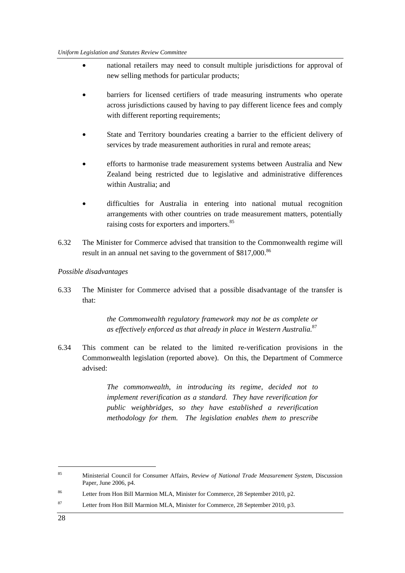- national retailers may need to consult multiple jurisdictions for approval of new selling methods for particular products;
- barriers for licensed certifiers of trade measuring instruments who operate across jurisdictions caused by having to pay different licence fees and comply with different reporting requirements;
- State and Territory boundaries creating a barrier to the efficient delivery of services by trade measurement authorities in rural and remote areas;
- efforts to harmonise trade measurement systems between Australia and New Zealand being restricted due to legislative and administrative differences within Australia; and
- difficulties for Australia in entering into national mutual recognition arrangements with other countries on trade measurement matters, potentially raising costs for exporters and importers.<sup>85</sup>
- 6.32 The Minister for Commerce advised that transition to the Commonwealth regime will result in an annual net saving to the government of \$817,000.<sup>86</sup>

#### *Possible disadvantages*

6.33 The Minister for Commerce advised that a possible disadvantage of the transfer is that:

> *the Commonwealth regulatory framework may not be as complete or as effectively enforced as that already in place in Western Australia.*<sup>87</sup>

6.34 This comment can be related to the limited re-verification provisions in the Commonwealth legislation (reported above). On this, the Department of Commerce advised:

> *The commonwealth, in introducing its regime, decided not to implement reverification as a standard. They have reverification for public weighbridges, so they have established a reverification methodology for them. The legislation enables them to prescribe*

<sup>85</sup> Ministerial Council for Consumer Affairs, *Review of National Trade Measurement System*, Discussion Paper, June 2006, p4.

<sup>&</sup>lt;sup>86</sup> Letter from Hon Bill Marmion MLA, Minister for Commerce, 28 September 2010, p2.

<sup>87</sup> Letter from Hon Bill Marmion MLA, Minister for Commerce, 28 September 2010, p3.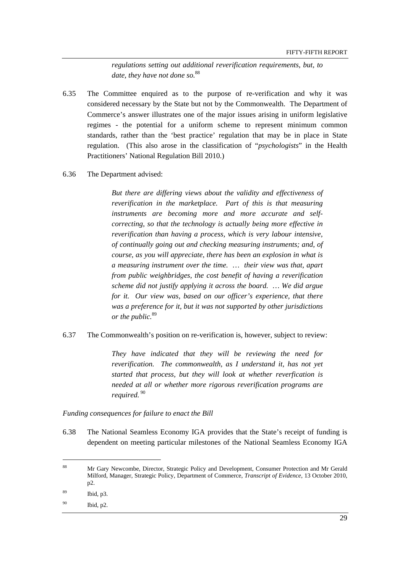*regulations setting out additional reverification requirements, but, to date, they have not done so.*<sup>88</sup>

- 6.35 The Committee enquired as to the purpose of re-verification and why it was considered necessary by the State but not by the Commonwealth. The Department of Commerce's answer illustrates one of the major issues arising in uniform legislative regimes - the potential for a uniform scheme to represent minimum common standards, rather than the 'best practice' regulation that may be in place in State regulation. (This also arose in the classification of "*psychologists*" in the Health Practitioners' National Regulation Bill 2010.)
- 6.36 The Department advised:

*But there are differing views about the validity and effectiveness of reverification in the marketplace. Part of this is that measuring instruments are becoming more and more accurate and selfcorrecting, so that the technology is actually being more effective in reverification than having a process, which is very labour intensive, of continually going out and checking measuring instruments; and, of course, as you will appreciate, there has been an explosion in what is a measuring instrument over the time. … their view was that, apart from public weighbridges, the cost benefit of having a reverification scheme did not justify applying it across the board. … We did argue for it. Our view was, based on our officer's experience, that there was a preference for it, but it was not supported by other jurisdictions or the public.*<sup>89</sup>

#### 6.37 The Commonwealth's position on re-verification is, however, subject to review:

*They have indicated that they will be reviewing the need for reverification. The commonwealth, as I understand it, has not yet started that process, but they will look at whether reverfication is needed at all or whether more rigorous reverification programs are required.*<sup>90</sup>

*Funding consequences for failure to enact the Bill* 

6.38 The National Seamless Economy IGA provides that the State's receipt of funding is dependent on meeting particular milestones of the National Seamless Economy IGA

 $\overline{a}$ 

<sup>88</sup> Mr Gary Newcombe, Director, Strategic Policy and Development, Consumer Protection and Mr Gerald Milford, Manager, Strategic Policy, Department of Commerce, *Transcript of Evidence,* 13 October 2010, p2.

<sup>89</sup> Ibid, p3.

<sup>90</sup> Ibid, p2.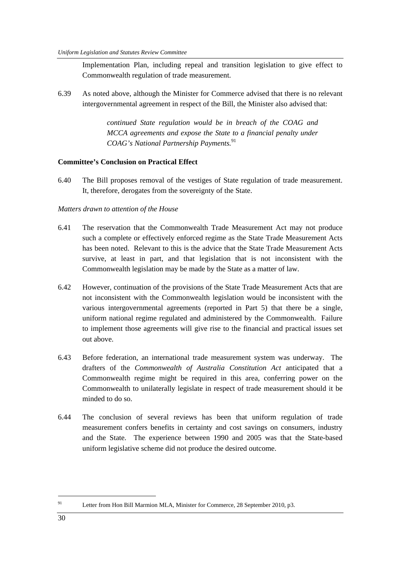Implementation Plan, including repeal and transition legislation to give effect to Commonwealth regulation of trade measurement.

6.39 As noted above, although the Minister for Commerce advised that there is no relevant intergovernmental agreement in respect of the Bill, the Minister also advised that:

> *continued State regulation would be in breach of the COAG and MCCA agreements and expose the State to a financial penalty under COAG's National Partnership Payments.*<sup>91</sup>

#### **Committee's Conclusion on Practical Effect**

6.40 The Bill proposes removal of the vestiges of State regulation of trade measurement. It, therefore, derogates from the sovereignty of the State.

#### *Matters drawn to attention of the House*

- 6.41 The reservation that the Commonwealth Trade Measurement Act may not produce such a complete or effectively enforced regime as the State Trade Measurement Acts has been noted. Relevant to this is the advice that the State Trade Measurement Acts survive, at least in part, and that legislation that is not inconsistent with the Commonwealth legislation may be made by the State as a matter of law.
- 6.42 However, continuation of the provisions of the State Trade Measurement Acts that are not inconsistent with the Commonwealth legislation would be inconsistent with the various intergovernmental agreements (reported in Part 5) that there be a single, uniform national regime regulated and administered by the Commonwealth. Failure to implement those agreements will give rise to the financial and practical issues set out above.
- 6.43 Before federation, an international trade measurement system was underway. The drafters of the *Commonwealth of Australia Constitution Act* anticipated that a Commonwealth regime might be required in this area, conferring power on the Commonwealth to unilaterally legislate in respect of trade measurement should it be minded to do so.
- 6.44 The conclusion of several reviews has been that uniform regulation of trade measurement confers benefits in certainty and cost savings on consumers, industry and the State. The experience between 1990 and 2005 was that the State-based uniform legislative scheme did not produce the desired outcome.

91 Letter from Hon Bill Marmion MLA, Minister for Commerce, 28 September 2010, p3.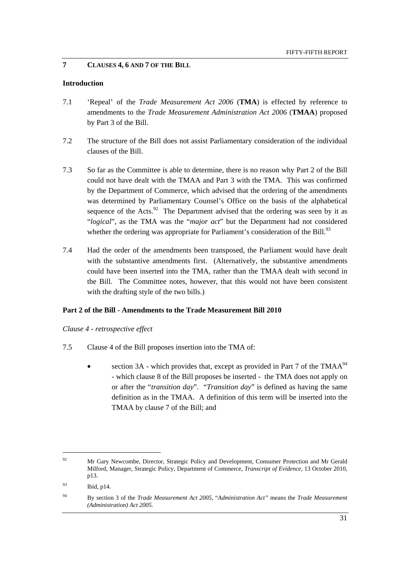# **7 CLAUSES 4, 6 AND 7 OF THE BILL**

#### **Introduction**

- 7.1 'Repeal' of the *Trade Measurement Act 2006* (**TMA**) is effected by reference to amendments to the *Trade Measurement Administration Act 2006* (**TMAA**) proposed by Part 3 of the Bill.
- 7.2 The structure of the Bill does not assist Parliamentary consideration of the individual clauses of the Bill.
- 7.3 So far as the Committee is able to determine, there is no reason why Part 2 of the Bill could not have dealt with the TMAA and Part 3 with the TMA. This was confirmed by the Department of Commerce, which advised that the ordering of the amendments was determined by Parliamentary Counsel's Office on the basis of the alphabetical sequence of the Acts.<sup>92</sup> The Department advised that the ordering was seen by it as "*logical*", as the TMA was the "*major act*" but the Department had not considered whether the ordering was appropriate for Parliament's consideration of the Bill.<sup>93</sup>
- 7.4 Had the order of the amendments been transposed, the Parliament would have dealt with the substantive amendments first. (Alternatively, the substantive amendments could have been inserted into the TMA*,* rather than the TMAA dealt with second in the Bill. The Committee notes, however, that this would not have been consistent with the drafting style of the two bills.)

# **Part 2 of the Bill - Amendments to the Trade Measurement Bill 2010**

*Clause 4 - retrospective effect* 

- 7.5 Clause 4 of the Bill proposes insertion into the TMA of:
	- section 3A which provides that, except as provided in Part 7 of the TMA $A^{94}$ - which clause 8 of the Bill proposes be inserted - the TMA does not apply on or after the "*transition day*". "*Transition day*" is defined as having the same definition as in the TMAA. A definition of this term will be inserted into the TMAA by clause 7 of the Bill; and

<sup>&</sup>lt;sup>92</sup> Mr Gary Newcombe, Director, Strategic Policy and Development, Consumer Protection and Mr Gerald Milford, Manager, Strategic Policy, Department of Commerce, *Transcript of Evidence,* 13 October 2010, p13.

<sup>93</sup> Ibid, p14.

<sup>94</sup> By section 3 of the *Trade Measurement Act 2005*, "*Administration Act"* means the *Trade Measurement (Administration) Act 2005*.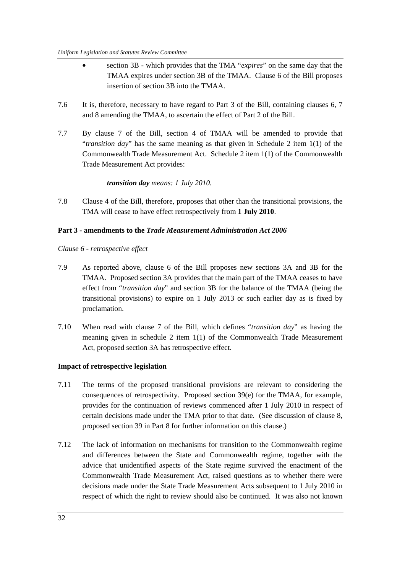- section 3B which provides that the TMA "*expires*" on the same day that the TMAA expires under section 3B of the TMAA. Clause 6 of the Bill proposes insertion of section 3B into the TMAA.
- 7.6 It is, therefore, necessary to have regard to Part 3 of the Bill, containing clauses 6, 7 and 8 amending the TMAA, to ascertain the effect of Part 2 of the Bill.
- 7.7 By clause 7 of the Bill, section 4 of TMAA will be amended to provide that "*transition day*" has the same meaning as that given in Schedule 2 item 1(1) of the Commonwealth Trade Measurement Act. Schedule 2 item 1(1) of the Commonwealth Trade Measurement Act provides:

# *transition day means: 1 July 2010.*

7.8 Clause 4 of the Bill, therefore, proposes that other than the transitional provisions, the TMA will cease to have effect retrospectively from **1 July 2010**.

### **Part 3 - amendments to the** *Trade Measurement Administration Act 2006*

*Clause 6 - retrospective effect* 

- 7.9 As reported above, clause 6 of the Bill proposes new sections 3A and 3B for the TMAA. Proposed section 3A provides that the main part of the TMAA ceases to have effect from "*transition day*" and section 3B for the balance of the TMAA (being the transitional provisions) to expire on 1 July 2013 or such earlier day as is fixed by proclamation.
- 7.10 When read with clause 7 of the Bill, which defines "*transition day*" as having the meaning given in schedule 2 item 1(1) of the Commonwealth Trade Measurement Act, proposed section 3A has retrospective effect.

# **Impact of retrospective legislation**

- 7.11 The terms of the proposed transitional provisions are relevant to considering the consequences of retrospectivity. Proposed section 39(e) for the TMAA, for example, provides for the continuation of reviews commenced after 1 July 2010 in respect of certain decisions made under the TMA prior to that date. (See discussion of clause 8, proposed section 39 in Part 8 for further information on this clause.)
- 7.12 The lack of information on mechanisms for transition to the Commonwealth regime and differences between the State and Commonwealth regime, together with the advice that unidentified aspects of the State regime survived the enactment of the Commonwealth Trade Measurement Act, raised questions as to whether there were decisions made under the State Trade Measurement Acts subsequent to 1 July 2010 in respect of which the right to review should also be continued. It was also not known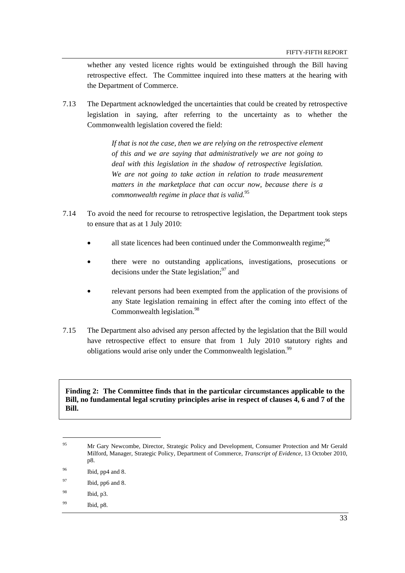whether any vested licence rights would be extinguished through the Bill having retrospective effect. The Committee inquired into these matters at the hearing with the Department of Commerce.

7.13 The Department acknowledged the uncertainties that could be created by retrospective legislation in saying, after referring to the uncertainty as to whether the Commonwealth legislation covered the field:

> *If that is not the case, then we are relying on the retrospective element of this and we are saying that administratively we are not going to deal with this legislation in the shadow of retrospective legislation. We are not going to take action in relation to trade measurement matters in the marketplace that can occur now, because there is a commonwealth regime in place that is valid.*<sup>95</sup>

- 7.14 To avoid the need for recourse to retrospective legislation, the Department took steps to ensure that as at 1 July 2010:
	- all state licences had been continued under the Commonwealth regime;  $96$
	- there were no outstanding applications, investigations, prosecutions or decisions under the State legislation; $97$  and
	- relevant persons had been exempted from the application of the provisions of any State legislation remaining in effect after the coming into effect of the Commonwealth legislation.<sup>98</sup>
- 7.15 The Department also advised any person affected by the legislation that the Bill would have retrospective effect to ensure that from 1 July 2010 statutory rights and obligations would arise only under the Commonwealth legislation.<sup>99</sup>

**Finding 2: The Committee finds that in the particular circumstances applicable to the Bill, no fundamental legal scrutiny principles arise in respect of clauses 4, 6 and 7 of the Bill.** 

98 Ibid, p3.

 $\overline{a}$ 

<sup>&</sup>lt;sup>95</sup> Mr Gary Newcombe, Director, Strategic Policy and Development, Consumer Protection and Mr Gerald Milford, Manager, Strategic Policy, Department of Commerce, *Transcript of Evidence,* 13 October 2010, p8.

<sup>96</sup> Ibid, pp4 and 8.

<sup>97</sup> Ibid, pp6 and 8.

<sup>99</sup> Ibid, p8.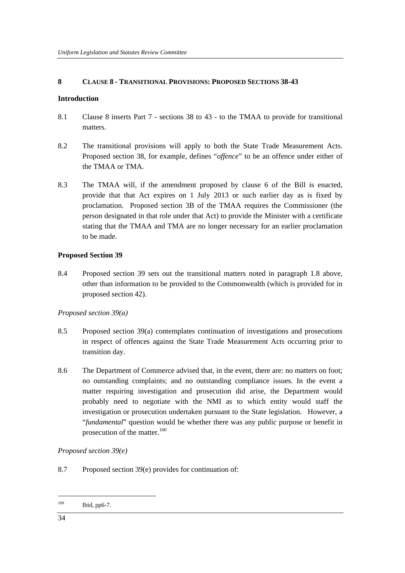### **8 CLAUSE 8 - TRANSITIONAL PROVISIONS: PROPOSED SECTIONS 38-43**

#### **Introduction**

- 8.1 Clause 8 inserts Part 7 sections 38 to 43 to the TMAA to provide for transitional matters.
- 8.2 The transitional provisions will apply to both the State Trade Measurement Acts. Proposed section 38, for example, defines "*offence*" to be an offence under either of the TMAA or TMA*.*
- 8.3 The TMAA will, if the amendment proposed by clause 6 of the Bill is enacted, provide that that Act expires on 1 July 2013 or such earlier day as is fixed by proclamation. Proposed section 3B of the TMAA requires the Commissioner (the person designated in that role under that Act) to provide the Minister with a certificate stating that the TMAA and TMA are no longer necessary for an earlier proclamation to be made.

#### **Proposed Section 39**

8.4 Proposed section 39 sets out the transitional matters noted in paragraph 1.8 above, other than information to be provided to the Commonwealth (which is provided for in proposed section 42).

#### *Proposed section 39(a)*

- 8.5 Proposed section 39(a) contemplates continuation of investigations and prosecutions in respect of offences against the State Trade Measurement Acts occurring prior to transition day.
- 8.6 The Department of Commerce advised that, in the event, there are: no matters on foot; no outstanding complaints; and no outstanding compliance issues. In the event a matter requiring investigation and prosecution did arise, the Department would probably need to negotiate with the NMI as to which entity would staff the investigation or prosecution undertaken pursuant to the State legislation. However, a "*fundamental*" question would be whether there was any public purpose or benefit in prosecution of the matter. $100$

# *Proposed section 39(e)*

8.7 Proposed section 39(e) provides for continuation of:

<sup>100</sup> Ibid, pp6-7.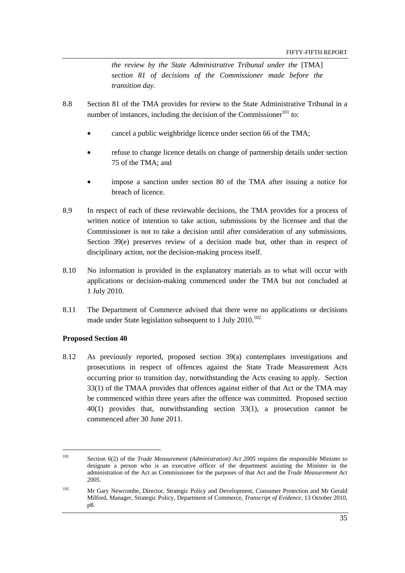*the review by the State Administrative Tribunal under the* [TMA] *section 81 of decisions of the Commissioner made before the transition day.* 

- 8.8 Section 81 of the TMA provides for review to the State Administrative Tribunal in a number of instances, including the decision of the Commissioner $^{101}$  to:
	- cancel a public weighbridge licence under section 66 of the TMA;
	- refuse to change licence details on change of partnership details under section 75 of the TMA; and
	- impose a sanction under section 80 of the TMA after issuing a notice for breach of licence.
- 8.9 In respect of each of these reviewable decisions, the TMA provides for a process of written notice of intention to take action, submissions by the licensee and that the Commissioner is not to take a decision until after consideration of any submissions. Section 39(e) preserves review of a decision made but, other than in respect of disciplinary action, not the decision-making process itself.
- 8.10 No information is provided in the explanatory materials as to what will occur with applications or decision-making commenced under the TMA but not concluded at 1 July 2010.
- 8.11 The Department of Commerce advised that there were no applications or decisions made under State legislation subsequent to 1 July 2010.<sup>102</sup>

### **Proposed Section 40**

 $\overline{a}$ 

8.12 As previously reported, proposed section 39(a) contemplates investigations and prosecutions in respect of offences against the State Trade Measurement Acts occurring prior to transition day, notwithstanding the Acts ceasing to apply. Section 33(1) of the TMAA provides that offences against either of that Act or the TMA may be commenced within three years after the offence was committed. Proposed section 40(1) provides that, notwithstanding section 33(1), a prosecution cannot be commenced after 30 June 2011.

<sup>101</sup> Section 6(2) of the *Trade Measurement (Administration) Act 2005* requires the responsible Minister to designate a person who is an executive officer of the department assisting the Minister in the administration of the Act as Commissioner for the purposes of that Act and the *Trade Measurement Act 2005*.

<sup>&</sup>lt;sup>102</sup> Mr Gary Newcombe, Director, Strategic Policy and Development, Consumer Protection and Mr Gerald Milford, Manager, Strategic Policy, Department of Commerce, *Transcript of Evidence,* 13 October 2010, p8.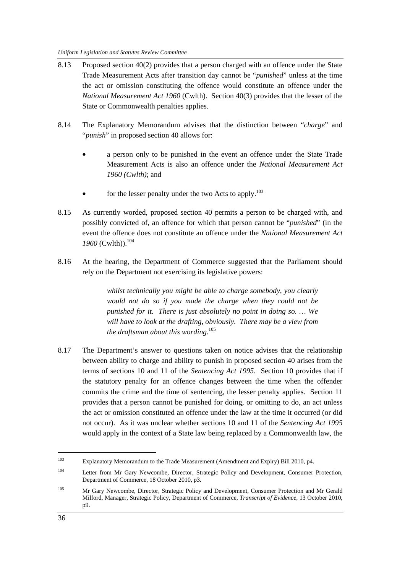- 8.13 Proposed section 40(2) provides that a person charged with an offence under the State Trade Measurement Acts after transition day cannot be "*punished*" unless at the time the act or omission constituting the offence would constitute an offence under the *National Measurement Act 1960* (Cwlth). Section 40(3) provides that the lesser of the State or Commonwealth penalties applies.
- 8.14 The Explanatory Memorandum advises that the distinction between "*charge*" and "*punish*" in proposed section 40 allows for:
	- a person only to be punished in the event an offence under the State Trade Measurement Acts is also an offence under the *National Measurement Act 1960 (Cwlth)*; and
	- for the lesser penalty under the two Acts to apply.<sup>103</sup>
- 8.15 As currently worded, proposed section 40 permits a person to be charged with, and possibly convicted of, an offence for which that person cannot be "*punished*" (in the event the offence does not constitute an offence under the *National Measurement Act*  1960<sup>(Cwlth)).<sup>104</sup></sup>
- 8.16 At the hearing, the Department of Commerce suggested that the Parliament should rely on the Department not exercising its legislative powers:

*whilst technically you might be able to charge somebody, you clearly would not do so if you made the charge when they could not be punished for it. There is just absolutely no point in doing so. … We will have to look at the drafting, obviously. There may be a view from the draftsman about this wording.*<sup>105</sup>

8.17 The Department's answer to questions taken on notice advises that the relationship between ability to charge and ability to punish in proposed section 40 arises from the terms of sections 10 and 11 of the *Sentencing Act 1995*. Section 10 provides that if the statutory penalty for an offence changes between the time when the offender commits the crime and the time of sentencing, the lesser penalty applies. Section 11 provides that a person cannot be punished for doing, or omitting to do, an act unless the act or omission constituted an offence under the law at the time it occurred (or did not occur). As it was unclear whether sections 10 and 11 of the *Sentencing Act 1995* would apply in the context of a State law being replaced by a Commonwealth law, the

<sup>103</sup> Explanatory Memorandum to the Trade Measurement (Amendment and Expiry) Bill 2010, p4.

<sup>&</sup>lt;sup>104</sup> Letter from Mr Gary Newcombe, Director, Strategic Policy and Development, Consumer Protection, Department of Commerce, 18 October 2010, p3.

<sup>&</sup>lt;sup>105</sup> Mr Gary Newcombe, Director, Strategic Policy and Development, Consumer Protection and Mr Gerald Milford, Manager, Strategic Policy, Department of Commerce, *Transcript of Evidence,* 13 October 2010, p9.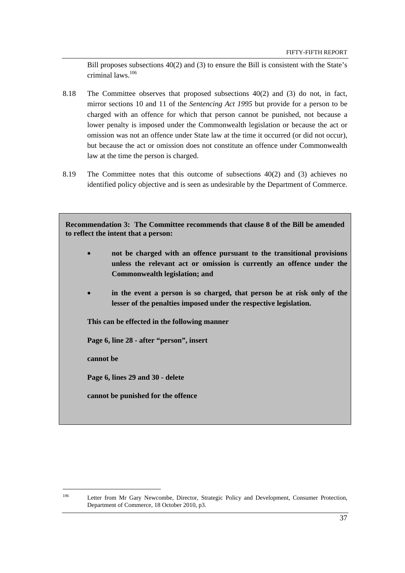Bill proposes subsections 40(2) and (3) to ensure the Bill is consistent with the State's criminal laws.106

- 8.18 The Committee observes that proposed subsections 40(2) and (3) do not, in fact, mirror sections 10 and 11 of the *Sentencing Act 1995* but provide for a person to be charged with an offence for which that person cannot be punished, not because a lower penalty is imposed under the Commonwealth legislation or because the act or omission was not an offence under State law at the time it occurred (or did not occur), but because the act or omission does not constitute an offence under Commonwealth law at the time the person is charged.
- 8.19 The Committee notes that this outcome of subsections 40(2) and (3) achieves no identified policy objective and is seen as undesirable by the Department of Commerce.

**Recommendation 3: The Committee recommends that clause 8 of the Bill be amended to reflect the intent that a person:** 

- **not be charged with an offence pursuant to the transitional provisions unless the relevant act or omission is currently an offence under the Commonwealth legislation; and**
- in the event a person is so charged, that person be at risk only of the **lesser of the penalties imposed under the respective legislation.**

**This can be effected in the following manner** 

**Page 6, line 28 - after "person", insert** 

**cannot be** 

**Page 6, lines 29 and 30 - delete** 

**cannot be punished for the offence** 

 $\overline{a}$ 

<sup>&</sup>lt;sup>106</sup> Letter from Mr Gary Newcombe, Director, Strategic Policy and Development, Consumer Protection, Department of Commerce, 18 October 2010, p3.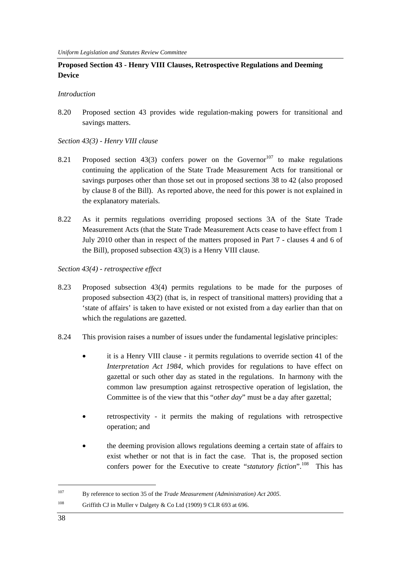## **Proposed Section 43 - Henry VIII Clauses, Retrospective Regulations and Deeming Device**

#### *Introduction*

8.20 Proposed section 43 provides wide regulation-making powers for transitional and savings matters.

#### *Section 43(3) - Henry VIII clause*

- 8.21 Proposed section 43(3) confers power on the Governor<sup>107</sup> to make regulations continuing the application of the State Trade Measurement Acts for transitional or savings purposes other than those set out in proposed sections 38 to 42 (also proposed by clause 8 of the Bill). As reported above, the need for this power is not explained in the explanatory materials.
- 8.22 As it permits regulations overriding proposed sections 3A of the State Trade Measurement Acts (that the State Trade Measurement Acts cease to have effect from 1 July 2010 other than in respect of the matters proposed in Part 7 - clauses 4 and 6 of the Bill), proposed subsection 43(3) is a Henry VIII clause.
- *Section 43(4) retrospective effect*
- 8.23 Proposed subsection 43(4) permits regulations to be made for the purposes of proposed subsection 43(2) (that is, in respect of transitional matters) providing that a 'state of affairs' is taken to have existed or not existed from a day earlier than that on which the regulations are gazetted.
- 8.24 This provision raises a number of issues under the fundamental legislative principles:
	- it is a Henry VIII clause it permits regulations to override section 41 of the *Interpretation Act 1984*, which provides for regulations to have effect on gazettal or such other day as stated in the regulations. In harmony with the common law presumption against retrospective operation of legislation, the Committee is of the view that this "*other day*" must be a day after gazettal;
	- retrospectivity it permits the making of regulations with retrospective operation; and
	- the deeming provision allows regulations deeming a certain state of affairs to exist whether or not that is in fact the case. That is, the proposed section confers power for the Executive to create "*statutory fiction*".108 This has

 $\overline{a}$ 

<sup>107</sup> By reference to section 35 of the *Trade Measurement (Administration) Act 2005*.

<sup>&</sup>lt;sup>108</sup> Griffith CJ in Muller v Dalgety & Co Ltd (1909) 9 CLR 693 at 696.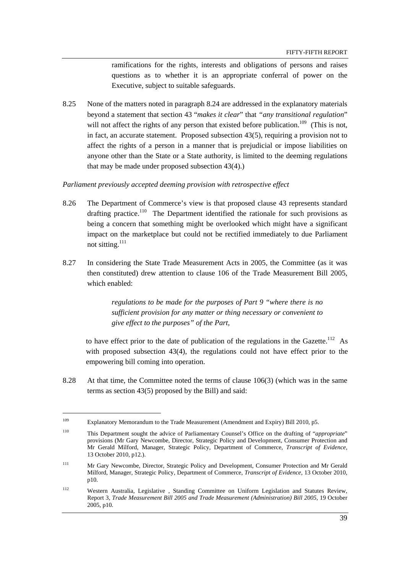ramifications for the rights, interests and obligations of persons and raises questions as to whether it is an appropriate conferral of power on the Executive, subject to suitable safeguards.

8.25 None of the matters noted in paragraph 8.24 are addressed in the explanatory materials beyond a statement that section 43 "*makes it clear*" that *"any transitional regulation*" will not affect the rights of any person that existed before publication.<sup>109</sup> (This is not, in fact, an accurate statement. Proposed subsection 43(5), requiring a provision not to affect the rights of a person in a manner that is prejudicial or impose liabilities on anyone other than the State or a State authority, is limited to the deeming regulations that may be made under proposed subsection 43(4).)

#### *Parliament previously accepted deeming provision with retrospective effect*

- 8.26 The Department of Commerce's view is that proposed clause 43 represents standard drafting practice.<sup>110</sup> The Department identified the rationale for such provisions as being a concern that something might be overlooked which might have a significant impact on the marketplace but could not be rectified immediately to due Parliament not sitting.<sup>111</sup>
- 8.27 In considering the State Trade Measurement Acts in 2005, the Committee (as it was then constituted) drew attention to clause 106 of the Trade Measurement Bill 2005, which enabled:

*regulations to be made for the purposes of Part 9 "where there is no sufficient provision for any matter or thing necessary or convenient to give effect to the purposes" of the Part,* 

to have effect prior to the date of publication of the regulations in the Gazette.112As with proposed subsection 43(4), the regulations could not have effect prior to the empowering bill coming into operation.

8.28 At that time, the Committee noted the terms of clause 106(3) (which was in the same terms as section 43(5) proposed by the Bill) and said:

<sup>109</sup> Explanatory Memorandum to the Trade Measurement (Amendment and Expiry) Bill 2010, p5.

<sup>110</sup> This Department sought the advice of Parliamentary Counsel's Office on the drafting of "*appropriate*" provisions (Mr Gary Newcombe, Director, Strategic Policy and Development, Consumer Protection and Mr Gerald Milford, Manager, Strategic Policy, Department of Commerce, *Transcript of Evidence,*  13 October 2010, p12.).

<sup>&</sup>lt;sup>111</sup> Mr Gary Newcombe, Director, Strategic Policy and Development, Consumer Protection and Mr Gerald Milford, Manager, Strategic Policy, Department of Commerce, *Transcript of Evidence,* 13 October 2010, p10.

<sup>112</sup> Western Australia, Legislative , Standing Committee on Uniform Legislation and Statutes Review, Report 3, *Trade Measurement Bill 2005 and Trade Measurement (Administration) Bill 2005*, 19 October 2005, p10.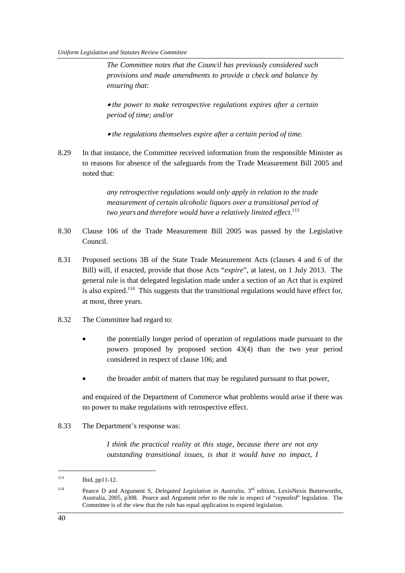*The Committee notes that the Council has previously considered such provisions and made amendments to provide a check and balance by ensuring that:*

• *the power to make retrospective regulations expires after a certain period of time; and/or* 

• *the regulations themselves expire after a certain period of time.* 

8.29 In that instance, the Committee received information from the responsible Minister as to reasons for absence of the safeguards from the Trade Measurement Bill 2005 and noted that:

> *any retrospective regulations would only apply in relation to the trade measurement of certain alcoholic liquors over a transitional period of two years and therefore would have a relatively limited effect.*<sup>113</sup>

- 8.30 Clause 106 of the Trade Measurement Bill 2005 was passed by the Legislative Council.
- 8.31 Proposed sections 3B of the State Trade Measurement Acts (clauses 4 and 6 of the Bill) will, if enacted, provide that those Acts "*expire*", at latest, on 1 July 2013. The general rule is that delegated legislation made under a section of an Act that is expired is also expired.<sup>114</sup> This suggests that the transitional regulations would have effect for, at most, three years.
- 8.32 The Committee had regard to:
	- the potentially longer period of operation of regulations made pursuant to the powers proposed by proposed section 43(4) than the two year period considered in respect of clause 106; and
	- the broader ambit of matters that may be regulated pursuant to that power,

and enquired of the Department of Commerce what problems would arise if there was no power to make regulations with retrospective effect.

8.33 The Department's response was:

*I think the practical reality at this stage, because there are not any outstanding transitional issues, is that it would have no impact, I* 

<sup>113</sup> Ibid, pp11-12.

<sup>114</sup> Pearce D and Argument S, *Delegated Legislation in Australia,* 3rd edition, LexisNexis Butterworths, Australia, 2005, p308. Pearce and Argument refer to the rule in respect of "*repealed*" legislation. The Committee is of the view that the rule has equal application to expired legislation.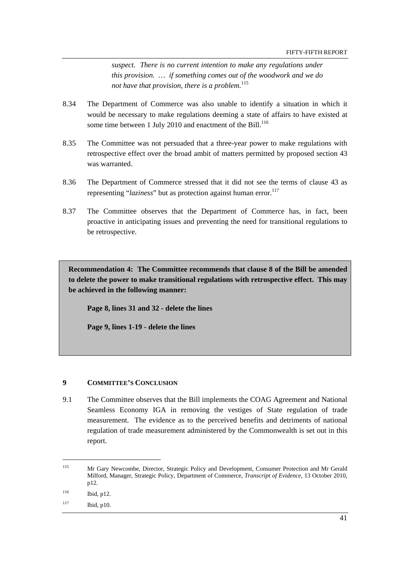*suspect. There is no current intention to make any regulations under this provision. … if something comes out of the woodwork and we do not have that provision, there is a problem.*<sup>115</sup>

- 8.34 The Department of Commerce was also unable to identify a situation in which it would be necessary to make regulations deeming a state of affairs to have existed at some time between 1 July 2010 and enactment of the Bill.<sup>116</sup>
- 8.35 The Committee was not persuaded that a three-year power to make regulations with retrospective effect over the broad ambit of matters permitted by proposed section 43 was warranted.
- 8.36 The Department of Commerce stressed that it did not see the terms of clause 43 as representing "*laziness*" but as protection against human error.<sup>117</sup>
- 8.37 The Committee observes that the Department of Commerce has, in fact, been proactive in anticipating issues and preventing the need for transitional regulations to be retrospective.

**Recommendation 4: The Committee recommends that clause 8 of the Bill be amended to delete the power to make transitional regulations with retrospective effect. This may be achieved in the following manner:** 

**Page 8, lines 31 and 32 - delete the lines** 

**Page 9, lines 1-19 - delete the lines** 

#### **9 COMMITTEE'S CONCLUSION**

9.1 The Committee observes that the Bill implements the COAG Agreement and National Seamless Economy IGA in removing the vestiges of State regulation of trade measurement. The evidence as to the perceived benefits and detriments of national regulation of trade measurement administered by the Commonwealth is set out in this report.

 $\overline{a}$ 

<sup>115</sup> Mr Gary Newcombe, Director, Strategic Policy and Development, Consumer Protection and Mr Gerald Milford, Manager, Strategic Policy, Department of Commerce, *Transcript of Evidence,* 13 October 2010, p12.

<sup>116</sup> Ibid, p12.

<sup>117</sup> Ibid, p10.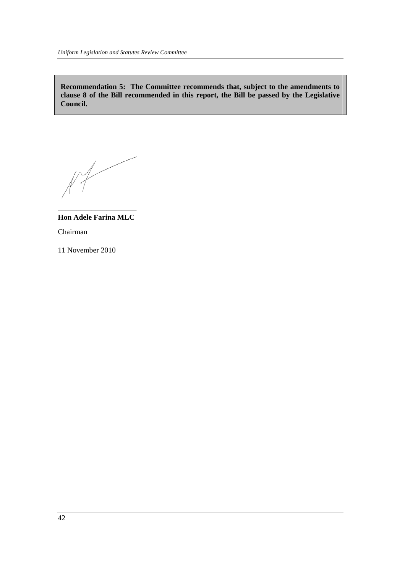**Recommendation 5: The Committee recommends that, subject to the amendments to clause 8 of the Bill recommended in this report, the Bill be passed by the Legislative Council.** 

 $M$ 

**Hon Adele Farina MLC**  Chairman

\_\_\_\_\_\_\_\_\_\_\_\_\_\_\_\_\_\_\_\_\_

11 November 2010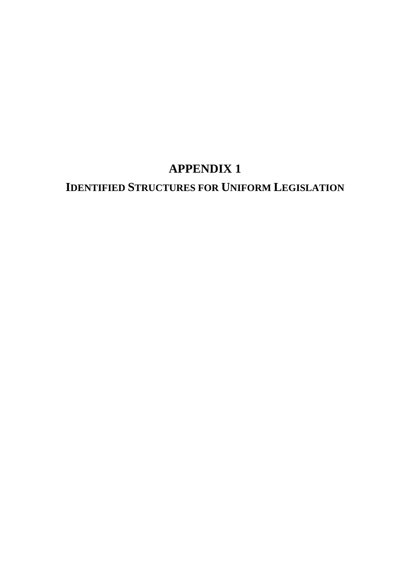# **IDENTIFIED STRUCTURES FOR UNIFORM LEGISLATION**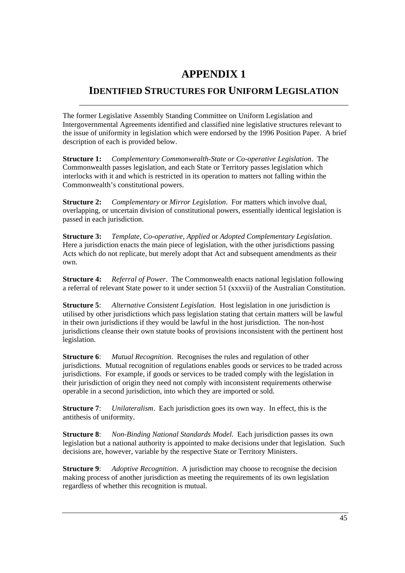# **IDENTIFIED STRUCTURES FOR UNIFORM LEGISLATION**

The former Legislative Assembly Standing Committee on Uniform Legislation and Intergovernmental Agreements identified and classified nine legislative structures relevant to the issue of uniformity in legislation which were endorsed by the 1996 Position Paper. A brief description of each is provided below.

**Structure 1:** *Complementary Commonwealth-State or Co-operative Legislation*. The Commonwealth passes legislation, and each State or Territory passes legislation which interlocks with it and which is restricted in its operation to matters not falling within the Commonwealth's constitutional powers.

**Structure 2:** *Complementary* or *Mirror Legislation*. For matters which involve dual, overlapping, or uncertain division of constitutional powers, essentially identical legislation is passed in each jurisdiction.

**Structure 3:** *Template, Co-operative, Applied* or *Adopted Complementary Legislation*. Here a jurisdiction enacts the main piece of legislation, with the other jurisdictions passing Acts which do not replicate, but merely adopt that Act and subsequent amendments as their own.

**Structure 4:** *Referral of Power*. The Commonwealth enacts national legislation following a referral of relevant State power to it under section 51 (xxxvii) of the Australian Constitution.

**Structure 5**: *Alternative Consistent Legislation*. Host legislation in one jurisdiction is utilised by other jurisdictions which pass legislation stating that certain matters will be lawful in their own jurisdictions if they would be lawful in the host jurisdiction. The non-host jurisdictions cleanse their own statute books of provisions inconsistent with the pertinent host legislation.

**Structure 6**: *Mutual Recognition*. Recognises the rules and regulation of other jurisdictions. Mutual recognition of regulations enables goods or services to be traded across jurisdictions. For example, if goods or services to be traded comply with the legislation in their jurisdiction of origin they need not comply with inconsistent requirements otherwise operable in a second jurisdiction, into which they are imported or sold.

**Structure 7**: *Unilateralism*. Each jurisdiction goes its own way. In effect, this is the antithesis of uniformity.

**Structure 8**: *Non-Binding National Standards Model*. Each jurisdiction passes its own legislation but a national authority is appointed to make decisions under that legislation. Such decisions are, however, variable by the respective State or Territory Ministers.

**Structure 9**: *Adoptive Recognition*. A jurisdiction may choose to recognise the decision making process of another jurisdiction as meeting the requirements of its own legislation regardless of whether this recognition is mutual.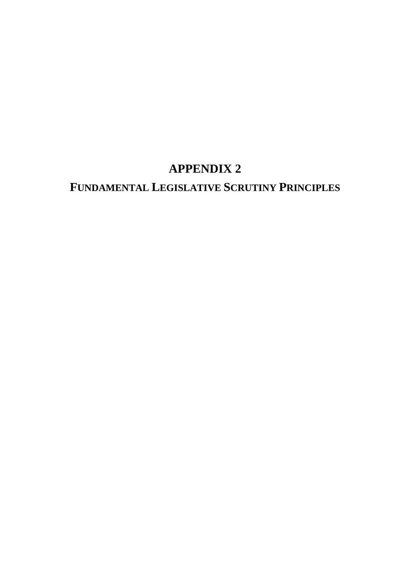# **FUNDAMENTAL LEGISLATIVE SCRUTINY PRINCIPLES**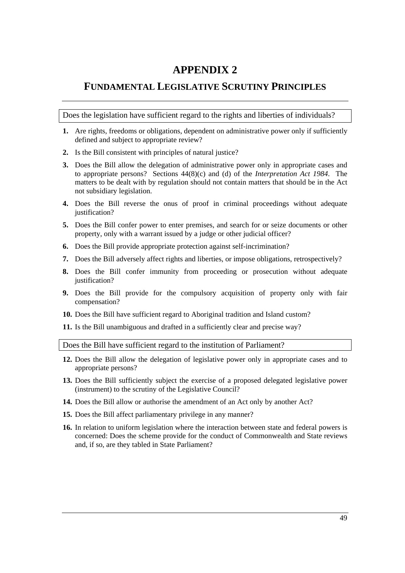# **FUNDAMENTAL LEGISLATIVE SCRUTINY PRINCIPLES**

Does the legislation have sufficient regard to the rights and liberties of individuals?

- **1.** Are rights, freedoms or obligations, dependent on administrative power only if sufficiently defined and subject to appropriate review?
- **2.** Is the Bill consistent with principles of natural justice?
- **3.** Does the Bill allow the delegation of administrative power only in appropriate cases and to appropriate persons? Sections 44(8)(c) and (d) of the *Interpretation Act 1984*. The matters to be dealt with by regulation should not contain matters that should be in the Act not subsidiary legislation.
- **4.** Does the Bill reverse the onus of proof in criminal proceedings without adequate justification?
- **5.** Does the Bill confer power to enter premises, and search for or seize documents or other property, only with a warrant issued by a judge or other judicial officer?
- **6.** Does the Bill provide appropriate protection against self-incrimination?
- **7.** Does the Bill adversely affect rights and liberties, or impose obligations, retrospectively?
- **8.** Does the Bill confer immunity from proceeding or prosecution without adequate justification?
- **9.** Does the Bill provide for the compulsory acquisition of property only with fair compensation?
- **10.** Does the Bill have sufficient regard to Aboriginal tradition and Island custom?
- **11.** Is the Bill unambiguous and drafted in a sufficiently clear and precise way?

Does the Bill have sufficient regard to the institution of Parliament?

- **12.** Does the Bill allow the delegation of legislative power only in appropriate cases and to appropriate persons?
- **13.** Does the Bill sufficiently subject the exercise of a proposed delegated legislative power (instrument) to the scrutiny of the Legislative Council?
- **14.** Does the Bill allow or authorise the amendment of an Act only by another Act?
- **15.** Does the Bill affect parliamentary privilege in any manner?
- **16.** In relation to uniform legislation where the interaction between state and federal powers is concerned: Does the scheme provide for the conduct of Commonwealth and State reviews and, if so, are they tabled in State Parliament?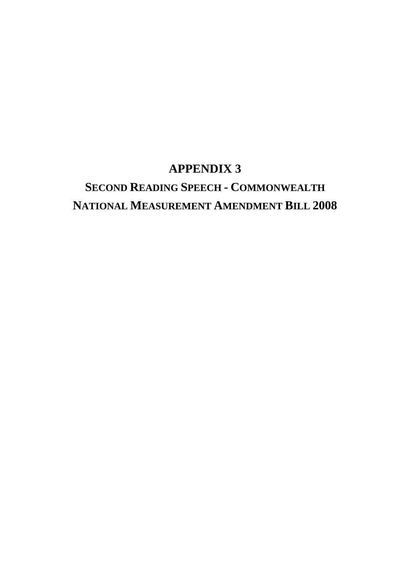# **APPENDIX 3 SECOND READING SPEECH - COMMONWEALTH NATIONAL MEASUREMENT AMENDMENT BILL 2008**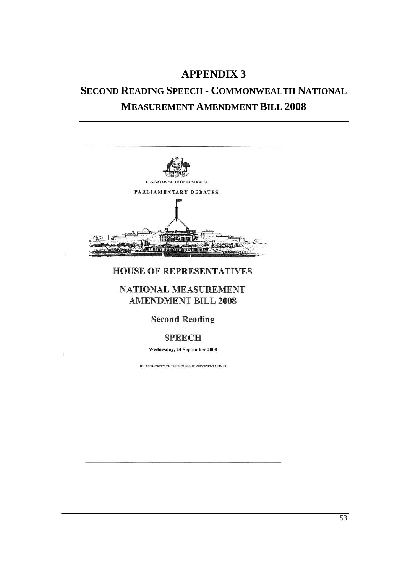# **SECOND READING SPEECH - COMMONWEALTH NATIONAL MEASUREMENT AMENDMENT BILL 2008**



# HOUSE OF REPRESENTATIVES

# NATIONAL MEASUREMENT AMENDMENT BILL 2008

# Second Reading

# SPEECH

#### Wednesday, 24 September 2008

BY AUTHORITY OF THE HOUSE OF REPRESENTATIVES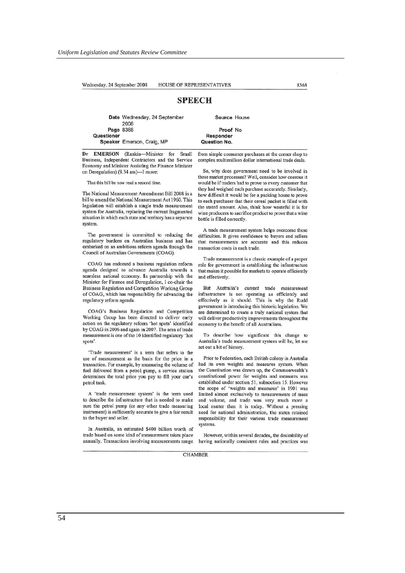# **SPEECH**

Date Wednesday, 24 September 2008

Source House

Proof No Responder Question No.

Dr EMERSON (Rankin-Minister for Small Business, Independent Contractors and the Service Economy and Minister Assisting the Finance Minister on Deregulation) (9.54 am)-I move:

Speaker Emerson, Craig, MP

That this bill be now read a second time.

Page 8368

**Questioner** 

The National Measurement Amendment Bill 2008 is a bill to amend the National Measurement Act 1960. This legislation will establish a single trade measurement system for Australia, replacing the current fragmented situation in which each state and territory has a separate system

The government is committed to reducing the regulatory burdens on Australian business and has embarked on an ambitious refonn agenda through the Council of Australian Governments (COAG).

COAG has endorsed a business regulation reform agenda designed to advance Australia towards a seamless national economy. In partnership with the Minister for Finance and Deregulation, I co-chair the Business Regulation and Competition Working Group of COAG, which has responsibility for advancing the regulatory refonn agenda.

COAG's Business Regulation and Competition Working Group has been directed to deliver early action on the regulatory reform 'hot spots' identified by COAG in 2006 and again in 2001. The area of trade measurement is one of the 10 identified regulatory 'hot spots'.

'Trade measurement' is a tenn that refers to the use of measurement as the basis for the price in a transaction. For example, by measuring the volume of fuel delivered from a petrol pump, a service station detennines the total price you pay to fill your car's petrol tank.

A 'trade measurement system' is the tenn used to describe the infrastructure that is needed to make sure the petrol pump (or any other trade measuring instrument) is sufficiently accurate to give a fair result to the buyer and seller.

In Australia, an estimated S400 billion worth of trade based on some kind of measurement takes place annually. Transactions involving measurements range from simple consumer purchases at the corner shop to complex multimillion dollar international trade deals.

So, why does government need to be involved in these market processes? Well, consider how onerous it would be if traders had to prove to every customer that they had weighed each purchase accurately. Similarly, how difficult it would be for a packing house to prove to each purchaser that their cereal packet is filled with the stated amount. Also, think how wasteful it is for wine producers to sacrifice product to prove that a wine bottle is filled correctly.

A trade measurement system helps overcome these difficulties. Jt gives confidence to buyers and sellers that measurements are accurate and this reduces transaction costs in each trade.

Trade measurement is a classic example of a proper role for government in establishing the infrastructure that makes it possible for markets to operate efficiently and effectively

But Australia's current trade measurement infrastrocture is not operating as efficiently and effectively as it should. This is why the Rudd government is introducing this historic legislation. We are detennined to create a troly national system that will deliver productivity improvements throughout the economy to the benefit of all Australians.

To describe how significant this change to Australia's trade measurement system will be, let me set out a bit of history.

Prior to federation, each British colony in Australia had its own weights and measures system. When the Constitution was drawn up, the Commonwealth's constitutional power for weights and measures was established under section 51, subsection 15. However the scope of 'weights and measures' in 1901 was limited almost exclusively to measurements of mass and volume, and trade was very much more a local matter than it is today. Without a pressing need for national administration, the states retained responsibility for their various trade measurement systems.

However, within several decades, the desirability of having nationally consistent rules and practices was

CHAMBER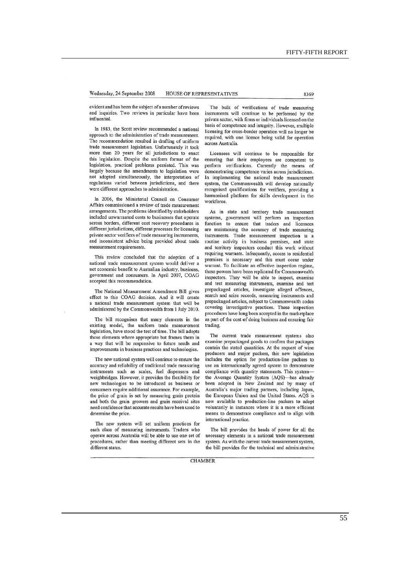evident and has been the subject of a number of reviews and inquiries. Two reviews in particular have been influential.

In 1983, the Scott review recommended a national approach to the administration of trade measurement. The recommendation resulted in drafting of uniform trade measurement legislation. Unfortunately it took more than 20 years for all jurisdictions to enact this legislation. Despite the uniform fonnat of the legislation, practical problems persisted. This was largely because the amendments to legislation were not adopted simultaneously, the interpretation of regulations varied between jurisdictions, and there were different approaches to administration.

In 2006, the Ministerial Council on Consumer Affairs commissioned a review of trade measurement arrangements. The problems identified by stakeholders included unwarranted costs to businesses that operate across borders, different cost recovery procedures in different jurisdictions, different processes for licensing private sector verifiers of trade measuring instruments, and inoonsistent advice being provided about trade measurement requirements.

This review concluded that the adoption of a national trade measurement system would deliver a net economic benefit to Australian industry, business, government and consumers. In April 2007, COAG accepted this recommendation.

The National Measurement Amendment Bill gives effect to this COAG decision. And it will create a national trade measurement system that will be administered by the Commonwealth from I July 2010.

The bill recognises that many elements in the existing model, the uniform trade measurement legislation, have stood the test of time. The bill adopts those elements where appropriate but frames them in a way that will be responsive to future needs and improvements in business practices and technologies.

The new national system will continue to ensure the accuracy and reliability of traditional trade measuring instruments such as scales, fuel dispensers and weighbridges. However, it provides the flexibility for new technologies to be introduced as business or consumers require additional assurance. For example, the price of grain is set by measuring grain protein and both the grain growers and grain receival sites need confidence that accurate results have been used to determine the price.

The new system will set uniform practices for each class of measuring instruments. Traders who operate across Australia will be able to use one set of procedures, rather than meeting different sets in the different states.

The bulk of verifications of trade measuring instruments will continue to be perfonned by the private sector, with finns or individuals licensed on the hasis of competence and integrity. However, multiple licensing for cross-border operation will no longer be required, with one licence being valid for operation across Australia.

Licensees will continue to be responsible for ensuring that their employees are oompetent to perform verifications. Currently the means of demonstrating competence varies across jurisdictions In implementing the national trade measurement system, the Commonwealth will develop nationally recognised qualifications for verifiers, providing a hannonised platform for skills development in the workforce.

As in state and territory trade measurement systems, government will perform an inspection function to ensure that traders and licensees are maintaining the accuracy of trade measuring instruments. Trade measnrement inspection is a routine activity in business premises, and state and territory inspectors conduct this work without requiring warrants. Infrequently, access to residential premises is necessary and this must occur under warrant. To facilitate an effective inspection regime, these powers have been replicated for Commonwealth inspectors. They will be able 10 inspect, examine and test measuring instruments, examine and test prepackaged articles, investigate alleged offences, search and seize records, measuring instruments and prepackaged anicles, subject to Commonwealth codes rovering investigative practices. These inspection procedures have long been accepted in the marketplace as part of the cost of doing business and ensuring fair trading.

The current trade measurement systems also examine prepackaged goods to confinn that packages contain the stated quantities. At the request of wine producers and major packers, this new legislation includes the option for production-line packers to use an internationally agreed system to demonstrate compliance with quantity statements. This systemthe Average Quantity System (AQS)-has already been adopted in New Zealand and by many of Australia's major trading partners, including Japan, the European Union and the United States. AQS is now available to production-line packers to adopt voluntarily in instances where it is a more efficient means to demonstrate compliance and to align with international practice.

The bill provides the heads of power for all the necessary elements in a national trade measurement system. As with the current trade measurement system, the bill provides for the technical and administrative

**CHAMBER**